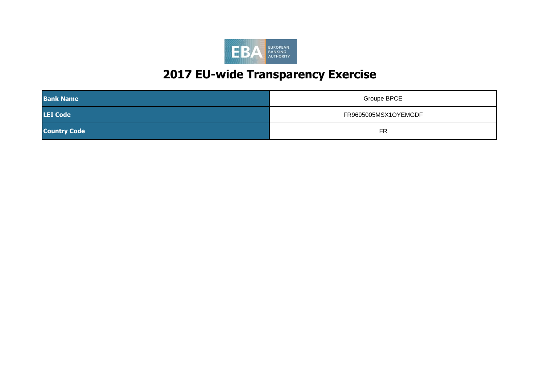

| <b>Bank Name</b>    | Groupe BPCE          |
|---------------------|----------------------|
| <b>LEI Code</b>     | FR9695005MSX1OYEMGDF |
| <b>Country Code</b> | <b>FR</b>            |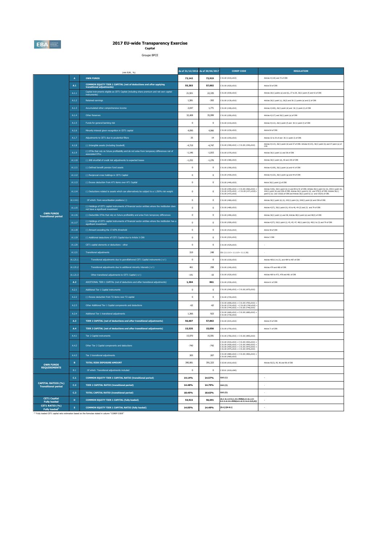

**Capital** Groupe BPCE

|                                                         |                | (mln EUR, %)                                                                                                                          |              | As of 31/12/2016 As of 30/06/2017 | <b>COREP CODE</b>                                                                                                                                                                                                                                                                             | <b>REGULATION</b>                                                                                                                                                                                                                                                                               |
|---------------------------------------------------------|----------------|---------------------------------------------------------------------------------------------------------------------------------------|--------------|-----------------------------------|-----------------------------------------------------------------------------------------------------------------------------------------------------------------------------------------------------------------------------------------------------------------------------------------------|-------------------------------------------------------------------------------------------------------------------------------------------------------------------------------------------------------------------------------------------------------------------------------------------------|
|                                                         | $\overline{A}$ | <b>OWN FUNDS</b>                                                                                                                      | 72,142       | 72,919                            | C 01.00 (r010,c010)                                                                                                                                                                                                                                                                           | Articles 4(118) and 72 of CRR                                                                                                                                                                                                                                                                   |
|                                                         | A.1            | COMMON EQUITY TIER 1 CAPITAL (net of deductions and after applying<br>transitional adjustments)                                       | 55,303       | 57.002                            | C 01.00 (r020.c010)                                                                                                                                                                                                                                                                           | Article 50 of CRR                                                                                                                                                                                                                                                                               |
|                                                         | A.1.1          | Capital instruments eligible as CET1 Capital (including share premium and net own capital<br>instruments)                             | 21,921       | 22,335                            | C 01.00 (r030,c010)                                                                                                                                                                                                                                                                           | Articles 26(1) points (a) and (b), 27 to 29, 36(1) point (f) and 42 of CRR                                                                                                                                                                                                                      |
|                                                         | A.1.2          | <b>Retained earnings</b>                                                                                                              | 1,581        | $-393$                            | C 01.00 (r130,c010)                                                                                                                                                                                                                                                                           | Articles 26(1) point (c), 26(2) and 36 (1) points (a) and (f) of CRR                                                                                                                                                                                                                            |
|                                                         | A.1.3          | Accumulated other comprehensive income                                                                                                | 2.047        | 1.771                             | C 01.00 (r180,c010)                                                                                                                                                                                                                                                                           | Articles 4(100), 26(1) point (d) and 36 (1) point (l) of CRR                                                                                                                                                                                                                                    |
|                                                         | A.1.4          | Other Reserves                                                                                                                        | 32,408       | 35,999                            | C 01.00 (r200,c010)                                                                                                                                                                                                                                                                           | Articles 4(117) and 26(1) point (e) of CRR                                                                                                                                                                                                                                                      |
|                                                         | A.1.5          | Funds for general banking risk                                                                                                        | $\mathbf 0$  | $\bf{0}$                          | C 01.00 (r210,c010)                                                                                                                                                                                                                                                                           | Articles 4(112), 26(1) point (f) and 36 (1) point (l) of CRR                                                                                                                                                                                                                                    |
|                                                         | A.1.6          | Minority interest given recognition in CET1 capital                                                                                   | 4.090        | 4,066                             | C 01.00 (r230.c010)                                                                                                                                                                                                                                                                           | Article 84 of CRR                                                                                                                                                                                                                                                                               |
|                                                         | A.1.7          | Adjustments to CET1 due to prudential filters                                                                                         | 35           | 14                                | C 01.00 (r250,c010)                                                                                                                                                                                                                                                                           | Articles 32 to 35 of and 36 (1) point (l) of CRR                                                                                                                                                                                                                                                |
|                                                         | A.1.8          | (-) Intangible assets (including Goodwill)                                                                                            | $-4,719$     | $-4,747$                          | C 01.00 (r300,c010) + C 01.00 (r340,c010)                                                                                                                                                                                                                                                     | Articles 4(113), 36(1) point (b) and 37 of CRR. Articles 4(115), 36(1) point (b) and 37 point (a) of<br>CCR                                                                                                                                                                                     |
|                                                         | A.1.9          | (-) DTAs that rely on future profitability and do not arise from temporary differences net of<br>ssociated DTLs                       | $-1.146$     | $-1.015$                          | C 01.00 (r370.c010)                                                                                                                                                                                                                                                                           | Articles 36(1) point (c) and 38 of CRR                                                                                                                                                                                                                                                          |
|                                                         | A.1.10         | (-) IRB shortfall of credit risk adjustments to expected losses                                                                       | $-1,232$     | $-1,276$                          | C 01.00 (r380,c010)                                                                                                                                                                                                                                                                           | Articles 36(1) point (d), 40 and 159 of CRR                                                                                                                                                                                                                                                     |
|                                                         | A.1.11         | (-) Defined benefit pension fund assets                                                                                               | $\mathbf 0$  | $\bf{0}$                          | C 01.00 (r390,c010)                                                                                                                                                                                                                                                                           | Articles 4(109), 36(1) point (e) and 41 of CRR                                                                                                                                                                                                                                                  |
|                                                         | A.1.12         | (-) Reciprocal cross holdings in CET1 Capital                                                                                         | $\mathbf{0}$ | $\mathbf{0}$                      | C 01.00 (r430,c010)                                                                                                                                                                                                                                                                           | Articles 4(122), 36(1) point (g) and 44 of CRR                                                                                                                                                                                                                                                  |
|                                                         | A.1.13         | (-) Excess deduction from AT1 items over AT1 Capital                                                                                  | $\,0\,$      | $\mathbf{0}$                      | C 01.00 (r440,c010)                                                                                                                                                                                                                                                                           | Article 36(1) point (j) of CRR                                                                                                                                                                                                                                                                  |
|                                                         | A.1.14         | (-) Deductions related to assets which can alternatively be subject to a 1.250% risk weight                                           | $\mathbf{0}$ | $\overline{0}$                    | $C 01.00 (r450, c010) + C 01.00 (r460, c010) +$<br>C 01.00 (r470,c010) + C 01.00 (r471,c010)+<br>C 01.00 (r472,c010)                                                                                                                                                                          | Articles 4(36), 36(1) point (k) (i) and 89 to 91 of CRR; Articles 36(1) point (k) (ii), 243(1) point (b), 244(1) point (b) and 258 of CRR; Articles 36(1) point k) (ii) and 379(3) of CRR; Articles 36(1)<br>point k) (iv) and 153(8) of CRR and Articles 36(1) point k) (v) and 155(4) of CRR. |
|                                                         | A.1.14.1       | Of which: from securitisation positions (-)                                                                                           | $\mathbf{0}$ | $\mathbf{0}$                      | C 01.00 (r460,c010)                                                                                                                                                                                                                                                                           | Articles 36(1) point (k) (ii), 243(1) point (b), 244(1) point (b) and 258 of CRR                                                                                                                                                                                                                |
|                                                         | A.1.15         | (-) Holdings of CET1 capital instruments of financial sector entities where the institution does<br>not have a significant investment | $\,0\,$      | $\,0\,$                           | C 01.00 (r480,c010)                                                                                                                                                                                                                                                                           | Articles 4(27), 36(1) point (h); 43 to 46, 49 (2) and (3) and 79 of CRR                                                                                                                                                                                                                         |
| <b>OWN FUNDS</b><br><b>Transitional period</b>          | A.1.16         | (-) Deductible DTAs that rely on future profitability and arise from temporary differences                                            | $\mathbf 0$  | $\,0\,$                           | C 01.00 (r490,c010)                                                                                                                                                                                                                                                                           | Articles 36(1) point (c) and 38; Articles 48(1) point (a) and 48(2) of CRR                                                                                                                                                                                                                      |
|                                                         | A.1.17         | (-) Holdings of CET1 capital instruments of financial sector entities where the institiution has a<br>significant investment          | $\mathbf{0}$ | $\overline{0}$                    | C 01.00 (rS00,c010)                                                                                                                                                                                                                                                                           | Articles 4(27); 36(1) point (i); 43, 45; 47; 48(1) point (b); 49(1) to (3) and 79 of CRR                                                                                                                                                                                                        |
|                                                         | A.1.18         | (-) Amount exceding the 17.65% threshold                                                                                              | $\mathbf 0$  | $\,0\,$                           | C 01.00 (r510.c010)                                                                                                                                                                                                                                                                           | Article 48 of CRR                                                                                                                                                                                                                                                                               |
|                                                         | A.1.19         | (-) Additional deductions of CET1 Capital due to Article 3 CRR                                                                        | $\mathbf 0$  | $\,0\,$                           | C 01.00 (r524,c010)                                                                                                                                                                                                                                                                           | Article 3 CRR                                                                                                                                                                                                                                                                                   |
|                                                         | A.1.20         | CET1 capital elements or deductions - other                                                                                           | $\mathbf 0$  | $\overline{0}$                    | C 01.00 (r529,c010)                                                                                                                                                                                                                                                                           |                                                                                                                                                                                                                                                                                                 |
|                                                         | A.1.21         | <b>Transitional adjustments</b>                                                                                                       | 319          | 248                               | $CA1$ {1.1.1.6 + 1.1.1.8 + 1.1.1.26}                                                                                                                                                                                                                                                          |                                                                                                                                                                                                                                                                                                 |
|                                                         | A.1.21.1       | Transitional adjustments due to grandfathered CET1 Capital instruments (+/-)                                                          | $\mathbf 0$  | $\,$ 0                            | C 01.00 (r220,c010)                                                                                                                                                                                                                                                                           | Articles 483(1) to (3), and 484 to 487 of CRR                                                                                                                                                                                                                                                   |
|                                                         | A.1.21.2       | Transitional adjustments due to additional minority interests (+/-)                                                                   | 461          | 258                               | C 01.00 (r240,c010)                                                                                                                                                                                                                                                                           | Articles 479 and 480 of CRR                                                                                                                                                                                                                                                                     |
|                                                         | A.1.21.3       | Other transitional adjustments to CET1 Capital (+/-)                                                                                  | $-141$       | $-10$                             | C 01.00 (r520,c010)                                                                                                                                                                                                                                                                           | Articles 469 to 472, 478 and 481 of CRR                                                                                                                                                                                                                                                         |
|                                                         | A.2            | ADDITIONAL TIER 1 CAPITAL (net of deductions and after transitional adjustments)                                                      | 1,304        | 861                               | C 01.00 (r530,c010)                                                                                                                                                                                                                                                                           | Article 61 of CRR                                                                                                                                                                                                                                                                               |
|                                                         | A.2.1          | Additional Tier 1 Capital instruments                                                                                                 | $\mathbf 0$  | $\bf{0}$                          | C 01.00 (r540,c010) + C 01.00 (r670,c010)                                                                                                                                                                                                                                                     |                                                                                                                                                                                                                                                                                                 |
|                                                         | A.2.2          | (-) Excess deduction from T2 items over T2 capital                                                                                    | $\mathbf{0}$ | $\overline{0}$                    | C 01.00 (r720,c010)                                                                                                                                                                                                                                                                           |                                                                                                                                                                                                                                                                                                 |
|                                                         | A.2.3          | Other Additional Tier 1 Capital components and deductions                                                                             | $-62$        | $-62$                             | $\begin{array}{l} \texttt{C}\ 01.00\ \texttt{(r690,c010)} + \texttt{C}\ 01.00\ \texttt{(r700,c010)} + \\ \texttt{C}\ 01.00\ \texttt{(r710,c010)}\ + \texttt{C}\ 01.00\ \texttt{(r740,c010)} \\ \texttt{C}\ 01.00\ \texttt{(r744,c010)} + \texttt{C}\ 01.00\ \texttt{(r748,c010)} \end{array}$ |                                                                                                                                                                                                                                                                                                 |
|                                                         | A.2.4          | Additional Tier 1 transitional adjustments                                                                                            | 1.366        | 923                               | $01.00 (r660, c010) + C 01.00 (r680, c010)$<br>C 01.00 (r730, c010)                                                                                                                                                                                                                           |                                                                                                                                                                                                                                                                                                 |
|                                                         | A.3            | TIER 1 CAPITAL (net of deductions and after transitional adjustments)                                                                 | 56,607       | 57,863                            | C 01.00 (r015,c010)                                                                                                                                                                                                                                                                           | Article 25 of CRR                                                                                                                                                                                                                                                                               |
|                                                         | A.4            | TIER 2 CAPITAL (net of deductions and after transitional adjustments)                                                                 | 15,535       | 15,056                            | C 01.00 (r750,c010)                                                                                                                                                                                                                                                                           | Article 71 of CRR                                                                                                                                                                                                                                                                               |
|                                                         | A.4.1          | Tier 2 Capital instruments                                                                                                            | 15,970       | 15,591                            | C 01.00 (r760,c010) + C 01.00 (r890,c010)                                                                                                                                                                                                                                                     |                                                                                                                                                                                                                                                                                                 |
|                                                         | A.4.2          | Other Tier 2 Capital components and deductions                                                                                        | $-740$       | $-742$                            | $C$ 01.00 (r910,c010) + $C$ 01.00 (r920,c010) +<br>C 01.00 (r930,c010) + C 01.00 (r940,c010) -<br>C 01.00 (r950.c010) + C 01.00 (r970.c010) -<br>$01.00 (r974, c010) + C 01.00 (r978, c010)$                                                                                                  |                                                                                                                                                                                                                                                                                                 |
|                                                         | A.4.3          | Tier 2 transitional adjustments                                                                                                       | 305          | 207                               | C 01.00 (r880.c010) + C 01.00 (r900.c010) +                                                                                                                                                                                                                                                   |                                                                                                                                                                                                                                                                                                 |
| <b>OWN FUNDS</b>                                        | $\mathbf B$    | <b>TOTAL RISK EXPOSURE AMOUNT</b>                                                                                                     | 390,981      | 391,323                           | C 02.00 (r010,c010)                                                                                                                                                                                                                                                                           | Articles 92(3), 95, 96 and 98 of CRR                                                                                                                                                                                                                                                            |
| <b>REQUIREMENTS</b>                                     | $_{\rm B.1}$   | Of which: Transitional adjustments included                                                                                           | $\,0\,$      | $\,0\,$                           | C 05.01 (r010;c040)                                                                                                                                                                                                                                                                           |                                                                                                                                                                                                                                                                                                 |
|                                                         | C.1            | COMMON EQUITY TIER 1 CAPITAL RATIO (transitional period)                                                                              | 14.14%       | 14.57%                            | CA3 (1)                                                                                                                                                                                                                                                                                       |                                                                                                                                                                                                                                                                                                 |
| <b>CAPITAL RATIOS (%)</b><br><b>Transitional period</b> | C.2            | <b>TIER 1 CAPITAL RATIO (transitional period)</b>                                                                                     | 14.48%       | 14.79%                            | CA3 {3}                                                                                                                                                                                                                                                                                       |                                                                                                                                                                                                                                                                                                 |
|                                                         | C.3            | <b>TOTAL CAPITAL RATIO (transitional period)</b>                                                                                      | 18.45%       | 18.63%                            | CA3 (5)                                                                                                                                                                                                                                                                                       | $\sim$                                                                                                                                                                                                                                                                                          |
| <b>CET1 Capital</b><br><b>Fully loaded</b>              | D              | COMMON EQUITY TIER 1 CAPITAL (fully loaded)                                                                                           | 54,922       | 56,691                            | [A.1-A.1.13-A.1.21+MIN(A.2+A.1.13-<br>A.2.2-A.2.4+MIN(A.4+A.2.2-A.4.3,0),0)]                                                                                                                                                                                                                  | ٠                                                                                                                                                                                                                                                                                               |
| CET1 RATIO (%)<br><b>Fully loaded</b> <sup>1</sup>      | Ē.             | COMMON EQUITY TIER 1 CAPITAL RATIO (fully loaded)                                                                                     | 14.05%       | 14.49%                            | $[D.1]/[B-B.1]$                                                                                                                                                                                                                                                                               |                                                                                                                                                                                                                                                                                                 |

(1) Fully loaded CET1 capital ratio estimation based on the formulae stated in column "COREP CODE"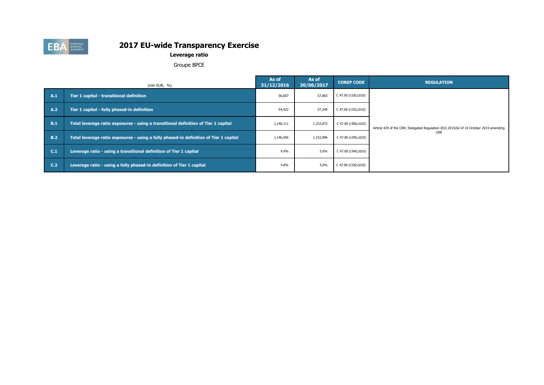

**Leverage ratio**

Groupe BPCE

|     | (mln EUR, $%$ )                                                                       | As of<br>31/12/2016 | As of<br>30/06/2017 | <b>COREP CODE</b>   | <b>REGULATION</b>                                                                     |
|-----|---------------------------------------------------------------------------------------|---------------------|---------------------|---------------------|---------------------------------------------------------------------------------------|
| A.1 | Tier 1 capital - transitional definition                                              | 56,607              | 57,863              | C 47.00 (r320,c010) |                                                                                       |
| A.2 | Tier 1 capital - fully phased-in definition                                           | 54,922              | 57,240              | C 47.00 (r310,c010) |                                                                                       |
| B.1 | Total leverage ratio exposures - using a transitional definition of Tier 1 capital    | 1,146,111           | 1,152,873           | C 47.00 (r300,c010) | Article 429 of the CRR; Delegated Regulation (EU) 2015/62 of 10 October 2014 amending |
| B.2 | Total leverage ratio exposures - using a fully phased-in definition of Tier 1 capital | 1,146,506           | 1,152,996           | C 47.00 (r290,c010) | <b>CRR</b>                                                                            |
| C.1 | Leverage ratio - using a transitional definition of Tier 1 capital                    | 4.9%                | 5.0%                | C 47.00 (r340,c010) |                                                                                       |
| C.2 | Leverage ratio - using a fully phased-in definition of Tier 1 capital                 | 4.8%                | 5.0%                | C 47.00 (r330,c010) |                                                                                       |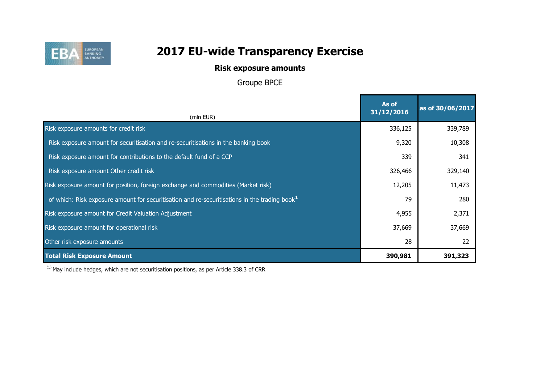

## **Risk exposure amounts**

Groupe BPCE

| (mln EUR)                                                                                                 | As of<br>31/12/2016 | as of 30/06/2017 |
|-----------------------------------------------------------------------------------------------------------|---------------------|------------------|
| Risk exposure amounts for credit risk                                                                     | 336,125             | 339,789          |
| Risk exposure amount for securitisation and re-securitisations in the banking book                        | 9,320               | 10,308           |
| Risk exposure amount for contributions to the default fund of a CCP                                       | 339                 | 341              |
| Risk exposure amount Other credit risk                                                                    | 326,466             | 329,140          |
| Risk exposure amount for position, foreign exchange and commodities (Market risk)                         | 12,205              | 11,473           |
| of which: Risk exposure amount for securitisation and re-securitisations in the trading book <sup>1</sup> | 79                  | 280              |
| Risk exposure amount for Credit Valuation Adjustment                                                      | 4,955               | 2,371            |
| Risk exposure amount for operational risk                                                                 | 37,669              | 37,669           |
| Other risk exposure amounts                                                                               | 28                  | 22               |
| <b>Total Risk Exposure Amount</b>                                                                         | 390,981             | 391,323          |

 $(1)$  May include hedges, which are not securitisation positions, as per Article 338.3 of CRR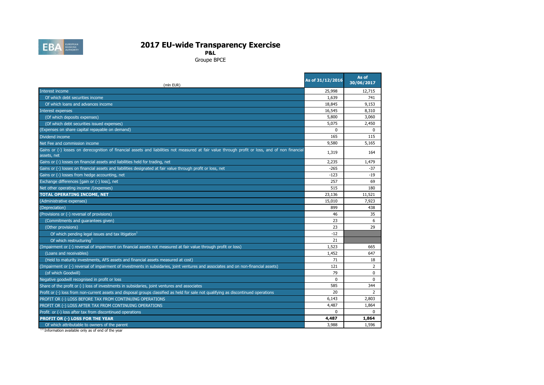

**P&L**

Groupe BPCE

| (mln EUR)                                                                                                                                                       | As of 31/12/2016 | As of<br>30/06/2017 |
|-----------------------------------------------------------------------------------------------------------------------------------------------------------------|------------------|---------------------|
| Interest income                                                                                                                                                 | 25,998           | 12,715              |
| Of which debt securities income                                                                                                                                 | 1,639            | 741                 |
| Of which loans and advances income                                                                                                                              | 18,845           | 9.153               |
| <b>Interest expenses</b>                                                                                                                                        | 16,545           | 8,310               |
| (Of which deposits expenses)                                                                                                                                    | 5,800            | 3,060               |
| (Of which debt securities issued expenses)                                                                                                                      | 5,075            | 2,450               |
| (Expenses on share capital repayable on demand)                                                                                                                 | $\mathbf{0}$     | $\mathbf{0}$        |
| Dividend income                                                                                                                                                 | 165              | 115                 |
| Net Fee and commission income                                                                                                                                   | 9,580            | 5,165               |
| Gains or (-) losses on derecognition of financial assets and liabilities not measured at fair value through profit or loss, and of non financial<br>assets, net | 1,319            | 164                 |
| Gains or (-) losses on financial assets and liabilities held for trading, net                                                                                   | 2,235            | 1,479               |
| Gains or (-) losses on financial assets and liabilities designated at fair value through profit or loss, net                                                    | $-265$           | $-37$               |
| Gains or (-) losses from hedge accounting, net                                                                                                                  | $-123$           | $-19$               |
| Exchange differences [gain or (-) loss], net                                                                                                                    | 257              | 69                  |
| Net other operating income /(expenses)                                                                                                                          | 515              | 180                 |
| <b>TOTAL OPERATING INCOME, NET</b>                                                                                                                              | 23,136           | 11,521              |
| (Administrative expenses)                                                                                                                                       | 15,010           | 7,923               |
| (Depreciation)                                                                                                                                                  | 899              | 438                 |
| (Provisions or (-) reversal of provisions)                                                                                                                      | 46               | 35                  |
| (Commitments and guarantees given)                                                                                                                              | 23               | 6                   |
| (Other provisions)                                                                                                                                              | 23               | 29                  |
| Of which pending legal issues and tax litigation <sup>1</sup>                                                                                                   | $-12$            |                     |
| Of which restructuring <sup>1</sup>                                                                                                                             | 21               |                     |
| (Impairment or (-) reversal of impairment on financial assets not measured at fair value through profit or loss)                                                | 1,523            | 665                 |
| (Loans and receivables)                                                                                                                                         | 1,452            | 647                 |
| (Held to maturity investments, AFS assets and financial assets measured at cost)                                                                                | 71               | 18                  |
| (Impairment or (-) reversal of impairment of investments in subsidaries, joint ventures and associates and on non-financial assets)                             | 121              | 2                   |
| (of which Goodwill)                                                                                                                                             | 79               | 0                   |
| Negative goodwill recognised in profit or loss                                                                                                                  | $\Omega$         | $\Omega$            |
| Share of the profit or (-) loss of investments in subsidaries, joint ventures and associates                                                                    | 585              | 344                 |
| Profit or (-) loss from non-current assets and disposal groups classified as held for sale not qualifying as discontinued operations                            | 20               | $\overline{2}$      |
| PROFIT OR (-) LOSS BEFORE TAX FROM CONTINUING OPERATIONS                                                                                                        | 6.143            | 2,803               |
| PROFIT OR (-) LOSS AFTER TAX FROM CONTINUING OPERATIONS                                                                                                         | 4,487            | 1,864               |
| Profit or (-) loss after tax from discontinued operations                                                                                                       | $\Omega$         | $\mathbf{0}$        |
| PROFIT OR (-) LOSS FOR THE YEAR                                                                                                                                 | 4,487            | 1,864               |
| Of which attributable to owners of the parent                                                                                                                   | 3,988            | 1,596               |

<sup>(1)</sup> Information available only as of end of the year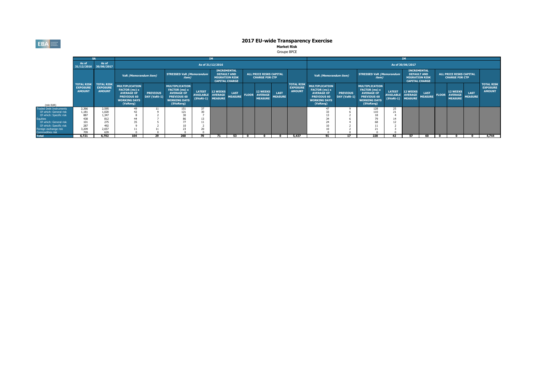**EBA** EUROPEAN

# **2017 EU-wide Transparency Exercise<br>Market Risk<br>Groupe BPCE**

|                                                                                         |                                                       |                                                       |                                                                                                                      |                                 |                                                                                                                |                                                  |                                                     |                                                |              |                                                     |                        |                                                       |                                                                                                                      | IΜ                              |                                                                                                                |                                                        |                                   |                                                                      |              |                                                     |                               |                                                       |
|-----------------------------------------------------------------------------------------|-------------------------------------------------------|-------------------------------------------------------|----------------------------------------------------------------------------------------------------------------------|---------------------------------|----------------------------------------------------------------------------------------------------------------|--------------------------------------------------|-----------------------------------------------------|------------------------------------------------|--------------|-----------------------------------------------------|------------------------|-------------------------------------------------------|----------------------------------------------------------------------------------------------------------------------|---------------------------------|----------------------------------------------------------------------------------------------------------------|--------------------------------------------------------|-----------------------------------|----------------------------------------------------------------------|--------------|-----------------------------------------------------|-------------------------------|-------------------------------------------------------|
|                                                                                         | As of<br>31/12/2016 30/06/2017                        | As of                                                 |                                                                                                                      |                                 |                                                                                                                |                                                  | As of 31/12/2016                                    |                                                |              |                                                     |                        |                                                       |                                                                                                                      |                                 |                                                                                                                |                                                        | As of 30/06/2017                  |                                                                      |              |                                                     |                               |                                                       |
|                                                                                         |                                                       |                                                       | VaR (Memorandum item)                                                                                                |                                 | <b>STRESSED VaR (Memorandum</b><br><i>item</i> )                                                               |                                                  | <b>INCREMENTAL</b><br><b>DEFAULT AND</b>            | <b>MIGRATION RISK</b><br><b>CAPITAL CHARGE</b> |              | ALL PRICE RISKS CAPITAL<br><b>CHARGE FOR CTP</b>    |                        |                                                       | VaR (Memorandum item)                                                                                                |                                 | <b>STRESSED VaR (Memorandum</b><br><i>item</i> )                                                               |                                                        | <b>INCREMENTAL</b>                | <b>DEFAULT AND</b><br><b>MIGRATION RISK</b><br><b>CAPITAL CHARGE</b> |              | ALL PRICE RISKS CAPITAL<br><b>CHARGE FOR CTP</b>    |                               |                                                       |
| (mln EUR)                                                                               | <b>TOTAL RISK</b><br><b>EXPOSURE</b><br><b>AMOUNT</b> | <b>TOTAL RISK</b><br><b>EXPOSURE</b><br><b>AMOUNT</b> | <b>MULTIPLICATION</b><br>FACTOR (mc) x<br><b>AVERAGE OF</b><br><b>PREVIOUS 60</b><br><b>WORKING DAYS</b><br>(VaRavg) | <b>PREVIOUS</b><br>DAY (VaRt-1) | <b>MULTIPLICATION</b><br>FACTOR (ms) x<br><b>AVERAGE OF</b><br>PREVIOUS 60<br><b>WORKING DAYS</b><br>(SVaRavg) | <b>LATEST</b><br><b>AVAILABLE</b><br>$(SVaRt-1)$ | <b>12 WEEKS</b><br><b>AVERAGE</b><br><b>MEASURE</b> | <b>LAST</b><br><b>MEASURE</b>                  | <b>FLOOR</b> | <b>12 WEEKS</b><br><b>AVERAGE</b><br><b>MEASURE</b> | LAST<br><b>MEASURE</b> | <b>TOTAL RISK</b><br><b>EXPOSURE</b><br><b>AMOUNT</b> | <b>MULTIPLICATION</b><br>FACTOR (mc) x<br><b>AVERAGE OF</b><br><b>PREVIOUS 60</b><br><b>WORKING DAYS</b><br>(VaRavg) | <b>PREVIOUS</b><br>DAY (VaRt-1) | <b>MULTIPLICATION</b><br>FACTOR (ms) x<br><b>AVERAGE OF</b><br>PREVIOUS 60<br><b>WORKING DAYS</b><br>(SVaRavg) | <b>LATEST</b><br><b>AVAILABLE</b><br>(SVaRt-1) MEASURE | <b>12 WEEKS</b><br><b>AVERAGE</b> | <b>LAST</b><br><b>MEASURE</b>                                        | <b>FLOOR</b> | <b>12 WEEKS</b><br><b>AVERAGE</b><br><b>MEASURE</b> | <b>LAST</b><br><b>MEASURE</b> | <b>TOTAL RISK</b><br><b>EXPOSURE</b><br><b>AMOUNT</b> |
| <b>Traded Debt Instruments</b>                                                          | 2,366                                                 | 2,595                                                 | 49                                                                                                                   |                                 | 151                                                                                                            |                                                  |                                                     |                                                |              |                                                     |                        |                                                       |                                                                                                                      |                                 | 128                                                                                                            | 20.                                                    |                                   |                                                                      |              |                                                     |                               |                                                       |
| Of which: General risk<br>Of which: Specific risk<br>Equities<br>Of which: General risk | 1,181                                                 | 1,020                                                 |                                                                                                                      |                                 | 121                                                                                                            |                                                  |                                                     |                                                |              |                                                     |                        |                                                       |                                                                                                                      |                                 | 110                                                                                                            | 21                                                     |                                   |                                                                      |              |                                                     |                               |                                                       |
|                                                                                         | 887                                                   | 1.347                                                 |                                                                                                                      |                                 |                                                                                                                |                                                  |                                                     |                                                |              |                                                     |                        |                                                       |                                                                                                                      |                                 |                                                                                                                |                                                        |                                   |                                                                      |              |                                                     |                               |                                                       |
|                                                                                         | 438                                                   | 812                                                   | 44                                                                                                                   |                                 | 86                                                                                                             |                                                  |                                                     |                                                |              |                                                     |                        |                                                       | 34                                                                                                                   |                                 |                                                                                                                |                                                        |                                   |                                                                      |              |                                                     |                               |                                                       |
|                                                                                         | 101                                                   | 275                                                   | 35                                                                                                                   |                                 | 77                                                                                                             |                                                  |                                                     |                                                |              |                                                     |                        |                                                       |                                                                                                                      |                                 |                                                                                                                |                                                        |                                   |                                                                      |              |                                                     |                               |                                                       |
| Of which: Specific risk                                                                 | 287                                                   | 492                                                   |                                                                                                                      |                                 |                                                                                                                |                                                  |                                                     |                                                |              |                                                     |                        |                                                       |                                                                                                                      |                                 |                                                                                                                |                                                        |                                   |                                                                      |              |                                                     |                               |                                                       |
| Foreign exchange risk                                                                   | 3,209                                                 | 2.657                                                 |                                                                                                                      |                                 |                                                                                                                |                                                  |                                                     |                                                |              |                                                     |                        |                                                       |                                                                                                                      |                                 |                                                                                                                |                                                        |                                   |                                                                      |              |                                                     |                               |                                                       |
| Commodities risk                                                                        | 709                                                   | 639                                                   |                                                                                                                      |                                 |                                                                                                                |                                                  |                                                     |                                                |              |                                                     |                        |                                                       |                                                                                                                      |                                 |                                                                                                                |                                                        |                                   |                                                                      |              |                                                     |                               |                                                       |
| <b>Total</b>                                                                            | 6,721                                                 | 6.702                                                 | 104                                                                                                                  | 29                              | 260                                                                                                            | 70                                               | 71                                                  | 53                                             | $\mathbf{o}$ |                                                     |                        | 5,437                                                 |                                                                                                                      | 17                              | 228                                                                                                            | 42                                                     | 57                                | 60                                                                   | $\mathbf{o}$ |                                                     |                               | 4,744                                                 |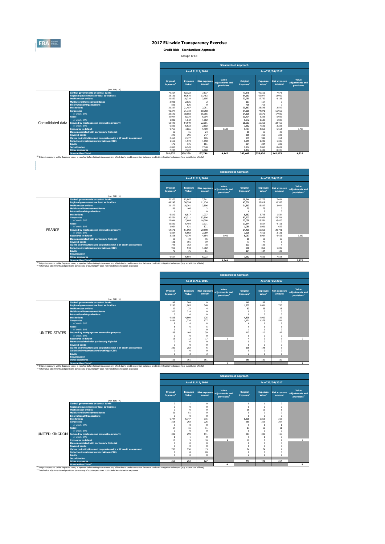

#### **2017 EU-wide Transparency Exercise**

**Credit Risk - Standardised Approach**

Groupe BPCE

|                   |                                                                   | <b>Standardised Approach</b>             |                                       |                                |                                        |                                   |                                       |                                |                                        |  |  |  |  |  |
|-------------------|-------------------------------------------------------------------|------------------------------------------|---------------------------------------|--------------------------------|----------------------------------------|-----------------------------------|---------------------------------------|--------------------------------|----------------------------------------|--|--|--|--|--|
|                   |                                                                   |                                          |                                       | As of 31/12/2016               |                                        |                                   |                                       | As of 30/06/2017               |                                        |  |  |  |  |  |
|                   | (mln EUR, %)                                                      | <b>Original</b><br>Exposure <sup>1</sup> | <b>Exposure</b><br>Value <sup>1</sup> | <b>Risk exposure</b><br>amount | Value<br>adjustments and<br>provisions | Original<br>Exposure <sup>1</sup> | <b>Exposure</b><br>Value <sup>1</sup> | <b>Risk exposure</b><br>amount | Value<br>adiustments and<br>provisions |  |  |  |  |  |
|                   | <b>Central governments or central banks</b>                       | 79.364                                   | 92.122                                | 7.837                          |                                        | 77,878                            | 90.556                                | 7.673                          |                                        |  |  |  |  |  |
|                   | <b>Regional governments or local authorities</b>                  | 58.131                                   | 65,610                                | 13,463                         |                                        | 54.153                            | 62.077                                | 12,960                         |                                        |  |  |  |  |  |
|                   | <b>Public sector entities</b>                                     | 21,860                                   | 18.719                                | 3.695                          |                                        | 22,950                            | 19,760                                | 4,136                          |                                        |  |  |  |  |  |
|                   | <b>Multilateral Development Banks</b>                             | 2.008                                    | 2.036                                 | $\overline{2}$                 |                                        | 117                               | 117                                   | $^{\circ}$                     |                                        |  |  |  |  |  |
|                   | <b>International Organisations</b>                                | 826                                      | 826                                   | $\Omega$                       |                                        | 715                               | 715                                   | $\Omega$                       |                                        |  |  |  |  |  |
|                   | <b>Institutions</b>                                               | 21.307                                   | 21,487                                | 2.251                          |                                        | 23.867                            | 23,595                                | 2,549                          |                                        |  |  |  |  |  |
|                   | <b>Corporates</b>                                                 | 91.277                                   | 71,772                                | 60,758                         |                                        | 94.385                            | 74.071                                | 61,959                         |                                        |  |  |  |  |  |
|                   | of which: SME                                                     | 22,540                                   | 18.058                                | 16.365                         |                                        | 24.325                            | 19.672                                | 17,930                         |                                        |  |  |  |  |  |
|                   | <b>Retail</b>                                                     | 19,944                                   | 8.334                                 | 6.004                          |                                        | 20.404                            | 8.233                                 | 5.932                          |                                        |  |  |  |  |  |
|                   | of which: SMF                                                     | 1.882                                    | 1.642                                 | 1.002                          |                                        | 1.872                             | 1.683                                 | 1.030                          |                                        |  |  |  |  |  |
| Consolidated data | Secured by mortgages on immovable property                        | 68,499                                   | 54,949                                | 22.001                         |                                        | 68,983                            | 55.363                                | 22,460                         |                                        |  |  |  |  |  |
|                   | of which: SME                                                     | 6.835                                    | 6.633                                 | 2.802                          |                                        | 7.852                             | 7.631                                 | 3.223                          |                                        |  |  |  |  |  |
|                   | <b>Exposures in default</b>                                       | 9.756                                    | 4.866                                 | 5,489                          | 3.630                                  | 9.797                             | 4.869                                 | 5.564                          | 3,720                                  |  |  |  |  |  |
|                   | Items associated with particularly high risk                      | 16                                       | 16                                    | 24                             |                                        | 16                                | 15                                    | 23                             |                                        |  |  |  |  |  |
|                   | <b>Covered bonds</b>                                              | 395                                      | 395                                   | 247                            |                                        | 365                               | 365                                   | 223                            |                                        |  |  |  |  |  |
|                   | Claims on institutions and corporates with a ST credit assessment | 2.467                                    | 2.477                                 | 165                            |                                        | 939                               | 942                                   | 264                            |                                        |  |  |  |  |  |
|                   | <b>Collective investments undertakings (CIU)</b>                  | 1.519                                    | 1.519                                 | 1.650                          |                                        | 1.249                             | 1.249                                 | 1.335                          |                                        |  |  |  |  |  |
|                   | <b>Equity</b>                                                     | 176                                      | 176                                   | 161                            |                                        | 234                               | 234                                   | 232                            |                                        |  |  |  |  |  |
|                   | <b>Securitisation</b>                                             | 6.855                                    | 6.749                                 | 7,340                          |                                        | 7.964                             | 7.863                                 | 8.639                          |                                        |  |  |  |  |  |
|                   | <b>Other exposures</b>                                            | 7.237                                    | 7.237                                 | 6,660                          |                                        | 8.432                             | 8.432                                 | 8.225                          |                                        |  |  |  |  |  |
|                   | <b>Standardised Total</b>                                         | 391.637                                  | 359,289                               | 137,746                        | 4.147                                  | 392,447                           | 358,456                               | 142,175                        | 4.229                                  |  |  |  |  |  |

|               |                                                                                                                                                                                                                                             |                                          | <b>Standardised Approach</b> |                                |                                                     |                                   |                                       |                                |                                                     |  |  |  |  |
|---------------|---------------------------------------------------------------------------------------------------------------------------------------------------------------------------------------------------------------------------------------------|------------------------------------------|------------------------------|--------------------------------|-----------------------------------------------------|-----------------------------------|---------------------------------------|--------------------------------|-----------------------------------------------------|--|--|--|--|
|               |                                                                                                                                                                                                                                             |                                          |                              | As of 31/12/2016               |                                                     |                                   |                                       | As of 30/06/2017               |                                                     |  |  |  |  |
|               | (mln EUR, %)                                                                                                                                                                                                                                | <b>Original</b><br>Exposure <sup>1</sup> | <b>Exposure</b><br>Value     | <b>Risk exposure</b><br>amount | Value<br>adiustments and<br>provisions <sup>2</sup> | Original<br>Exposure <sup>1</sup> | <b>Exposure</b><br>Value <sup>1</sup> | <b>Risk exposure</b><br>amount | Value<br>adjustments and<br>provisions <sup>2</sup> |  |  |  |  |
|               | <b>Central governments or central banks</b>                                                                                                                                                                                                 | 70,370                                   | 82.887                       | 7.261                          |                                                     | 68.346                            | 80,775                                | 7.081                          |                                                     |  |  |  |  |
|               | <b>Regional governments or local authorities</b>                                                                                                                                                                                            | 49.245                                   | 56.594                       | 11.134                         |                                                     | 45.306                            | 52.819                                | 10.383                         |                                                     |  |  |  |  |
|               | <b>Public sector entities</b>                                                                                                                                                                                                               | 21.177                                   | 18.201                       | 3.596                          |                                                     | 21.863                            | 18.847                                | 3.944                          |                                                     |  |  |  |  |
|               | <b>Multilateral Development Banks</b>                                                                                                                                                                                                       | 166                                      | 166                          |                                |                                                     | 75                                | 75                                    |                                |                                                     |  |  |  |  |
|               | <b>International Organisations</b>                                                                                                                                                                                                          |                                          |                              |                                |                                                     | 6                                 | 6                                     | $\Omega$                       |                                                     |  |  |  |  |
|               | <b>Institutions</b>                                                                                                                                                                                                                         | 6.842                                    | 6.817                        | 1.237                          |                                                     | 6.652                             | 6.743                                 | 1.534                          |                                                     |  |  |  |  |
|               | <b>Corporates</b>                                                                                                                                                                                                                           | 80,551                                   | 62.311                       | 53.506                         |                                                     | 82,703                            | 64.056                                | 53.741                         |                                                     |  |  |  |  |
|               | of which: SMF                                                                                                                                                                                                                               | 22.044                                   | 17,684                       | 16,008                         |                                                     | 23,058                            | 18.561                                | 16,920                         |                                                     |  |  |  |  |
|               | <b>Retail</b>                                                                                                                                                                                                                               | 16.830                                   | 5.454                        | 3.971                          |                                                     | 17.544                            | 5.654                                 | 4.111                          |                                                     |  |  |  |  |
|               | of which: SME                                                                                                                                                                                                                               | 1.064                                    | 921                          | 571                            |                                                     | 1.089                             | 1.001                                 | 622                            |                                                     |  |  |  |  |
| <b>FRANCE</b> | Secured by mortgages on immovable property                                                                                                                                                                                                  | 64.571                                   | 51.092                       | 20,598                         |                                                     | 64,400                            | 50.863                                | 20.791                         |                                                     |  |  |  |  |
|               | of which: SMF                                                                                                                                                                                                                               | 6,804                                    | 6.602                        | 2,789                          |                                                     | 7.626                             | 7.416                                 | 3.131                          |                                                     |  |  |  |  |
|               | <b>Exposures in default</b>                                                                                                                                                                                                                 | 8,358                                    | 4.179                        | 4.654                          | 2.942                                               | 8.057                             | 3.984                                 | 4.455                          | 2.882                                               |  |  |  |  |
|               | Items associated with particularly high risk                                                                                                                                                                                                | 10                                       | 10                           | 15                             |                                                     | 10                                | 10                                    | 15                             |                                                     |  |  |  |  |
|               | <b>Covered bonds</b>                                                                                                                                                                                                                        | 101                                      | 101                          | 19                             |                                                     | 77                                | 77                                    | 8                              |                                                     |  |  |  |  |
|               | Claims on institutions and corporates with a ST credit assessment                                                                                                                                                                           | 743                                      | 752                          | 18                             |                                                     | 123                               | 125                                   |                                |                                                     |  |  |  |  |
|               | <b>Collective investments undertakings (CIU)</b>                                                                                                                                                                                            | 918                                      | 918                          | 1.302                          |                                                     | 858                               | 858                                   | 1.239                          |                                                     |  |  |  |  |
|               | Equity                                                                                                                                                                                                                                      | 76                                       | 76                           | 61                             |                                                     | 134                               | 134                                   | 133                            |                                                     |  |  |  |  |
|               | <b>Securitisation</b>                                                                                                                                                                                                                       |                                          |                              |                                |                                                     |                                   |                                       |                                |                                                     |  |  |  |  |
|               | <b>Other exposures</b>                                                                                                                                                                                                                      | 6.654                                    | 6.654                        | 6.223                          |                                                     | 7.662                             | 7.661                                 | 7.553                          |                                                     |  |  |  |  |
|               | <b>Standardised Total<sup>2</sup></b><br>(1) Original exposure, unlike Exposure value, is reported before taking into account any effect due to credit conversion factors or credit risk mitigation techniques (e.g. substitution effects). |                                          |                              |                                | 3,349                                               |                                   |                                       |                                | 3,275                                               |  |  |  |  |

|               |                                                                   | <b>Standardised Approach</b>      |                    |                                         |                                                     |                                   |                                |                                |                                                     |  |  |  |  |
|---------------|-------------------------------------------------------------------|-----------------------------------|--------------------|-----------------------------------------|-----------------------------------------------------|-----------------------------------|--------------------------------|--------------------------------|-----------------------------------------------------|--|--|--|--|
|               |                                                                   |                                   |                    | As of 31/12/2016                        |                                                     |                                   |                                | As of 30/06/2017               |                                                     |  |  |  |  |
|               |                                                                   | Original<br>Exposure <sup>1</sup> | Value <sup>1</sup> | <b>Exposure</b> Risk exposure<br>amount | Value<br>adjustments and<br>provisions <sup>2</sup> | Original<br>Exposure <sup>1</sup> | Exposure<br>Value <sup>1</sup> | <b>Risk exposure</b><br>amount | Value<br>adjustments and<br>provisions <sup>2</sup> |  |  |  |  |
|               | (mln EUR, %)<br><b>Central governments or central banks</b>       | 149                               | 204                | $\mathbf{0}$                            |                                                     | 140                               | 189                            | $\mathbf{0}$                   |                                                     |  |  |  |  |
|               | <b>Regional governments or local authorities</b>                  | 2.280                             | 1.985              | 548                                     |                                                     | 1.902                             | 1.601                          | 730                            |                                                     |  |  |  |  |
|               | <b>Public sector entities</b>                                     | 22                                | 22                 |                                         |                                                     | 63                                | 63                             | 13                             |                                                     |  |  |  |  |
|               | <b>Multilateral Development Banks</b>                             | 320                               | 319                | $\Omega$                                |                                                     | $\Omega$                          | $\Omega$                       | $\Omega$                       |                                                     |  |  |  |  |
|               | <b>International Organisations</b>                                | $\Omega$                          |                    | $\Omega$                                |                                                     | $\Omega$                          | $\Omega$                       | $\Omega$                       |                                                     |  |  |  |  |
|               | <b>Institutions</b>                                               | 4,803                             | 4,809              | 125                                     |                                                     | 4,898                             | 4.902                          | 122                            |                                                     |  |  |  |  |
|               | <b>Corporates</b>                                                 | 1.484                             | 1.724              | 677                                     |                                                     | 1.121                             | 1.373                          | 544                            |                                                     |  |  |  |  |
|               | of which: SME                                                     |                                   |                    | 8                                       |                                                     | 6                                 |                                | 6                              |                                                     |  |  |  |  |
|               | <b>Retail</b>                                                     |                                   | n                  | 5                                       |                                                     | 9                                 |                                |                                |                                                     |  |  |  |  |
|               | of which: SMF                                                     |                                   |                    | $\Omega$                                |                                                     |                                   |                                | $\Omega$                       |                                                     |  |  |  |  |
| UNITED STATES | Secured by mortgages on immovable property                        | 105                               | 104                | 39                                      |                                                     | 113                               | 110                            | 42                             |                                                     |  |  |  |  |
|               | of which: SMF                                                     |                                   |                    | $\Omega$                                |                                                     | $\Omega$                          | $\Omega$                       | $\mathbf 0$                    |                                                     |  |  |  |  |
|               | <b>Exposures in default</b>                                       | 13                                | 12                 | 17                                      |                                                     |                                   | $\sim$                         | $\overline{2}$                 | $\overline{2}$                                      |  |  |  |  |
|               | Items associated with particularly high risk                      |                                   |                    | $\Omega$                                |                                                     | $\sqrt{2}$                        | $\Omega$                       | $\Omega$                       |                                                     |  |  |  |  |
|               | <b>Covered bonds</b>                                              |                                   |                    | $\Omega$                                |                                                     | $\Omega$                          | $\Omega$                       |                                |                                                     |  |  |  |  |
|               | Claims on institutions and corporates with a ST credit assessment | 282                               | 282                | 6                                       |                                                     | 198                               | 198                            |                                |                                                     |  |  |  |  |
|               | Collective investments undertakings (CIU)                         |                                   |                    | $\Omega$                                |                                                     | $\Omega$                          |                                |                                |                                                     |  |  |  |  |
|               | Equity                                                            | 3                                 | В                  | 3                                       |                                                     | 3                                 | 3                              | 3                              |                                                     |  |  |  |  |
|               | <b>Securitisation</b>                                             |                                   |                    |                                         |                                                     |                                   |                                |                                |                                                     |  |  |  |  |
|               | <b>Other exposures</b>                                            | 161                               | 161                | 161                                     |                                                     | 180                               | 180                            | 180                            |                                                     |  |  |  |  |
|               | the company of the company of the                                 |                                   |                    |                                         | $\sim$                                              |                                   |                                |                                |                                                     |  |  |  |  |

**Contract Contract Contract** 

<sup>13</sup> Original exposure, unlike Exposure and a Total<sup>2</sup><br>The Consult of the Consult will be reported before taking into account any effect due to credit conversion factors or credit risk mitigation techniques (e.g. substitut

|                                                                   |                                   |                                       |                  | <b>Standardised Approach</b>                                      |                                   |                                       |                                |                                                     |
|-------------------------------------------------------------------|-----------------------------------|---------------------------------------|------------------|-------------------------------------------------------------------|-----------------------------------|---------------------------------------|--------------------------------|-----------------------------------------------------|
|                                                                   |                                   |                                       | As of 31/12/2016 |                                                                   |                                   |                                       | As of 30/06/2017               |                                                     |
| (mln EUR, %)                                                      | Original<br>Exposure <sup>1</sup> | <b>Exposure</b><br>Value <sup>1</sup> | amount           | Value<br>Risk exposure adjustments and<br>provisions <sup>2</sup> | Original<br>Exposure <sup>1</sup> | <b>Exposure</b><br>Value <sup>1</sup> | <b>Risk exposure</b><br>amount | Value<br>adjustments and<br>provisions <sup>2</sup> |
| <b>Central governments or central banks</b>                       | $\Omega$                          | 1                                     | $\Omega$         |                                                                   | $\mathbf 0$                       |                                       | $\mathbf{0}$                   |                                                     |
| <b>Regional governments or local authorities</b>                  | $\Omega$                          | $\Omega$                              |                  |                                                                   | $\Omega$                          |                                       | $\Omega$                       |                                                     |
| <b>Public sector entities</b>                                     | $\Omega$                          | $\Omega$                              |                  |                                                                   | 15                                | 15                                    | 3                              |                                                     |
| <b>Multilateral Development Banks</b>                             | 51                                | 51                                    |                  |                                                                   | $\Omega$                          |                                       | O                              |                                                     |
| <b>International Organisations</b>                                | $\Omega$                          | $\Omega$                              | n                |                                                                   | $\Omega$                          |                                       | $\Omega$                       |                                                     |
| <b>Institutions</b>                                               | 6.744                             | 6.747                                 | 315              |                                                                   | 6,808                             | 6.858                                 | 318                            |                                                     |
| <b>Corporates</b>                                                 | 318                               | 292                                   | 226              |                                                                   | 260                               | 255                                   | 204                            |                                                     |
| of which: SME                                                     | $\Omega$                          | $\Omega$                              | $\Omega$         |                                                                   |                                   |                                       |                                |                                                     |
| <b>Retail</b>                                                     | 17                                | 15                                    | 11               |                                                                   | 17                                | 15                                    | 11                             |                                                     |
| of which: SMF                                                     | $\Omega$                          | $\mathbf{0}$                          | $\Omega$         |                                                                   | $^{\circ}$                        | $\Omega$                              | $\Omega$                       |                                                     |
| UNITED KINGDOM Secured by mortgages on immovable property         | 309                               | 299                                   | 111              |                                                                   | 317                               | 308                                   | 115                            |                                                     |
| of which: SMF                                                     |                                   | $\overline{1}$                        | $\Omega$         |                                                                   | $\overline{1}$                    |                                       | $\Omega$                       |                                                     |
| <b>Exposures in default</b>                                       | 13                                | $\mathbf{Q}$                          | 10               | $\overline{a}$                                                    | 12                                |                                       | $\mathbf{Q}$                   | $\overline{4}$                                      |
| Items associated with particularly high risk                      | $\Omega$                          | $\Omega$                              | $\Omega$         |                                                                   | $\Omega$                          |                                       | O                              |                                                     |
| <b>Covered bonds</b>                                              | $\Omega$                          | $\Omega$                              | $\Omega$         |                                                                   | $\Omega$                          |                                       |                                |                                                     |
| Claims on institutions and corporates with a ST credit assessment | 750                               | 750                                   | 15               |                                                                   | 74                                | 74                                    |                                |                                                     |
| Collective investments undertakings (CIU)                         | 8                                 | 8                                     | 20               |                                                                   | $\Omega$                          |                                       |                                |                                                     |
| Equity                                                            | $\Omega$                          | $\Omega$                              | $\Omega$         |                                                                   | $\mathcal{P}$                     |                                       | $\overline{ }$                 |                                                     |
| <b>Securitisation</b>                                             |                                   |                                       |                  |                                                                   |                                   |                                       |                                |                                                     |
| <b>Other exposures</b>                                            | 263                               | 263                                   | 127              |                                                                   | 441                               | 441                                   | 354                            |                                                     |
| <b>Standardised Total<sup>2</sup></b>                             |                                   |                                       |                  | $\overline{\bf{4}}$                                               |                                   |                                       |                                | 5 <sup>1</sup>                                      |

<sup>(1)</sup> Original exposure, unlike Exposure value, is reported before taking into account any effect due to credit conversion factors or credit risk mitigation techniques (e.g. substitution effects).<br><sup>(2)</sup> Total value adjustm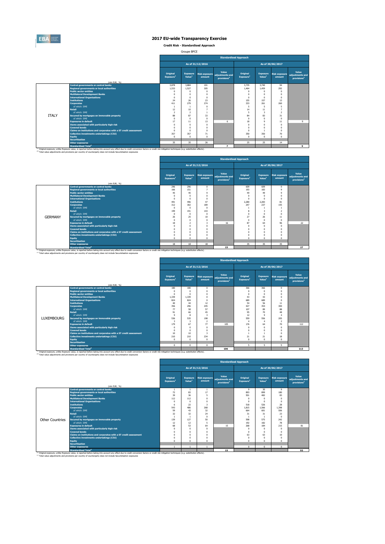

**Credit Risk - Standardised Approach**

Groupe BPCE

|              |                                                                                                                                                                                                                                                                                                                         |                                   | <b>Standardised Approach</b><br>As of 31/12/2016<br>As of 30/06/2017<br>Value<br>Original<br><b>Exposure</b><br><b>Exposure</b><br><b>Risk exposure</b><br><b>Risk exposure</b><br>adiustments and<br>Value <sup>1</sup><br>Value <sup>1</sup><br>Exposure <sup>1</sup><br>amount<br>amount<br>provisions <sup>2</sup><br>3,884<br>3,740<br>3,878<br>3.735<br>94<br>101<br>1.533<br>305<br>292<br>1.527<br>1.464<br>1.459<br>$\Omega$<br>$\Omega$<br>$\Omega$<br>$\Omega$<br>$\Omega$<br>$\Omega$<br>$\Omega$<br>$\Omega$<br>$\Omega$<br>$\Omega$<br>$\Omega$<br>$\Omega$<br>$\Omega$<br>$\Omega$<br>$\Omega$<br>$\Omega$<br>$\Omega$<br>$\Omega$<br>23<br>157<br>24<br>26<br>155<br>13<br>279<br>274<br>333<br>261<br>260<br>411<br>5<br>5<br>5<br>$\Omega$<br>$\overline{1}$<br>12<br>10<br>14<br>11<br>$\overline{2}$<br>$\overline{2}$<br>5<br>3<br>$\overline{ }$<br>33<br>84<br>88<br>87<br>31<br>83<br>$\Omega$<br>$\Omega$<br>$\Omega$<br>$\Omega$<br>$\Omega$<br>$\Omega$<br>18<br>13<br>17<br>6<br>$\mathbf{Q}$<br>11<br>11<br>$\Omega$<br>$\Omega$<br>$\Omega$<br>$\Omega$<br>$\Omega$<br>$\Omega$ |          |                          |            |                |          |                                                     |
|--------------|-------------------------------------------------------------------------------------------------------------------------------------------------------------------------------------------------------------------------------------------------------------------------------------------------------------------------|-----------------------------------|---------------------------------------------------------------------------------------------------------------------------------------------------------------------------------------------------------------------------------------------------------------------------------------------------------------------------------------------------------------------------------------------------------------------------------------------------------------------------------------------------------------------------------------------------------------------------------------------------------------------------------------------------------------------------------------------------------------------------------------------------------------------------------------------------------------------------------------------------------------------------------------------------------------------------------------------------------------------------------------------------------------------------------------------------------------------------------------------------------------|----------|--------------------------|------------|----------------|----------|-----------------------------------------------------|
|              | (mln EUR. %)                                                                                                                                                                                                                                                                                                            | Original<br>Exposure <sup>1</sup> |                                                                                                                                                                                                                                                                                                                                                                                                                                                                                                                                                                                                                                                                                                                                                                                                                                                                                                                                                                                                                                                                                                               |          |                          |            |                |          | Value<br>adjustments and<br>provisions <sup>2</sup> |
|              | <b>Central governments or central banks</b>                                                                                                                                                                                                                                                                             |                                   |                                                                                                                                                                                                                                                                                                                                                                                                                                                                                                                                                                                                                                                                                                                                                                                                                                                                                                                                                                                                                                                                                                               |          |                          |            |                |          |                                                     |
|              | <b>Regional governments or local authorities</b>                                                                                                                                                                                                                                                                        |                                   |                                                                                                                                                                                                                                                                                                                                                                                                                                                                                                                                                                                                                                                                                                                                                                                                                                                                                                                                                                                                                                                                                                               |          |                          |            |                |          |                                                     |
|              | <b>Public sector entities</b>                                                                                                                                                                                                                                                                                           |                                   |                                                                                                                                                                                                                                                                                                                                                                                                                                                                                                                                                                                                                                                                                                                                                                                                                                                                                                                                                                                                                                                                                                               |          |                          |            |                |          |                                                     |
|              | <b>Multilateral Development Banks</b>                                                                                                                                                                                                                                                                                   |                                   |                                                                                                                                                                                                                                                                                                                                                                                                                                                                                                                                                                                                                                                                                                                                                                                                                                                                                                                                                                                                                                                                                                               |          |                          |            |                |          |                                                     |
|              | <b>International Organisations</b>                                                                                                                                                                                                                                                                                      |                                   |                                                                                                                                                                                                                                                                                                                                                                                                                                                                                                                                                                                                                                                                                                                                                                                                                                                                                                                                                                                                                                                                                                               |          |                          |            |                |          |                                                     |
|              | <b>Institutions</b>                                                                                                                                                                                                                                                                                                     |                                   |                                                                                                                                                                                                                                                                                                                                                                                                                                                                                                                                                                                                                                                                                                                                                                                                                                                                                                                                                                                                                                                                                                               |          |                          |            |                |          |                                                     |
|              | <b>Corporates</b>                                                                                                                                                                                                                                                                                                       |                                   |                                                                                                                                                                                                                                                                                                                                                                                                                                                                                                                                                                                                                                                                                                                                                                                                                                                                                                                                                                                                                                                                                                               |          |                          |            |                |          |                                                     |
|              | of which: SMF                                                                                                                                                                                                                                                                                                           |                                   |                                                                                                                                                                                                                                                                                                                                                                                                                                                                                                                                                                                                                                                                                                                                                                                                                                                                                                                                                                                                                                                                                                               |          |                          |            |                |          |                                                     |
|              | <b>Retail</b>                                                                                                                                                                                                                                                                                                           |                                   |                                                                                                                                                                                                                                                                                                                                                                                                                                                                                                                                                                                                                                                                                                                                                                                                                                                                                                                                                                                                                                                                                                               |          |                          |            |                |          |                                                     |
|              | of which: SMF                                                                                                                                                                                                                                                                                                           |                                   |                                                                                                                                                                                                                                                                                                                                                                                                                                                                                                                                                                                                                                                                                                                                                                                                                                                                                                                                                                                                                                                                                                               |          |                          |            |                |          |                                                     |
| <b>ITALY</b> | Secured by mortgages on immovable property                                                                                                                                                                                                                                                                              |                                   |                                                                                                                                                                                                                                                                                                                                                                                                                                                                                                                                                                                                                                                                                                                                                                                                                                                                                                                                                                                                                                                                                                               |          |                          |            |                |          |                                                     |
|              | of which: SMF                                                                                                                                                                                                                                                                                                           |                                   |                                                                                                                                                                                                                                                                                                                                                                                                                                                                                                                                                                                                                                                                                                                                                                                                                                                                                                                                                                                                                                                                                                               |          |                          |            |                |          |                                                     |
|              | <b>Exposures in default</b>                                                                                                                                                                                                                                                                                             |                                   |                                                                                                                                                                                                                                                                                                                                                                                                                                                                                                                                                                                                                                                                                                                                                                                                                                                                                                                                                                                                                                                                                                               |          |                          |            |                |          | Q                                                   |
|              | Items associated with particularly high risk                                                                                                                                                                                                                                                                            |                                   |                                                                                                                                                                                                                                                                                                                                                                                                                                                                                                                                                                                                                                                                                                                                                                                                                                                                                                                                                                                                                                                                                                               |          |                          |            |                |          |                                                     |
|              | <b>Covered bonds</b>                                                                                                                                                                                                                                                                                                    | $\Omega$                          | $\Omega$                                                                                                                                                                                                                                                                                                                                                                                                                                                                                                                                                                                                                                                                                                                                                                                                                                                                                                                                                                                                                                                                                                      | $\Omega$ |                          | $^{\circ}$ | $\Omega$       | $\Omega$ |                                                     |
|              | Claims on institutions and corporates with a ST credit assessment                                                                                                                                                                                                                                                       | $\Omega$                          | $\Omega$                                                                                                                                                                                                                                                                                                                                                                                                                                                                                                                                                                                                                                                                                                                                                                                                                                                                                                                                                                                                                                                                                                      | $\Omega$ |                          | $\Omega$   | $\overline{1}$ | $\Omega$ |                                                     |
|              | Collective investments undertakings (CIU)                                                                                                                                                                                                                                                                               | 357                               | 357                                                                                                                                                                                                                                                                                                                                                                                                                                                                                                                                                                                                                                                                                                                                                                                                                                                                                                                                                                                                                                                                                                           | 71       |                          | 350        | 350            | 70       |                                                     |
|              | <b>Equity</b>                                                                                                                                                                                                                                                                                                           | $\Omega$                          | $\Omega$                                                                                                                                                                                                                                                                                                                                                                                                                                                                                                                                                                                                                                                                                                                                                                                                                                                                                                                                                                                                                                                                                                      | $\Omega$ |                          | $\Omega$   | $\Omega$       | $\Omega$ |                                                     |
|              | <b>Securitisation</b>                                                                                                                                                                                                                                                                                                   |                                   |                                                                                                                                                                                                                                                                                                                                                                                                                                                                                                                                                                                                                                                                                                                                                                                                                                                                                                                                                                                                                                                                                                               |          |                          |            |                |          |                                                     |
|              | <b>Other exposures</b>                                                                                                                                                                                                                                                                                                  | 35                                | 35                                                                                                                                                                                                                                                                                                                                                                                                                                                                                                                                                                                                                                                                                                                                                                                                                                                                                                                                                                                                                                                                                                            | 26       |                          | 25         | 25             | 14       |                                                     |
|              | <b>Standardised Total<sup>2</sup></b>                                                                                                                                                                                                                                                                                   |                                   |                                                                                                                                                                                                                                                                                                                                                                                                                                                                                                                                                                                                                                                                                                                                                                                                                                                                                                                                                                                                                                                                                                               |          | $\overline{\phantom{a}}$ |            |                |          | 9                                                   |
|              | (1) Original exposure, unlike Exposure value, is reported before taking into account any effect due to credit conversion factors or credit risk mitigation techniques (e.g. substitution effects).<br>(2) Total value adjustments and provisions per country of counterparty does not include Securistisation exposures |                                   |                                                                                                                                                                                                                                                                                                                                                                                                                                                                                                                                                                                                                                                                                                                                                                                                                                                                                                                                                                                                                                                                                                               |          |                          |            |                |          |                                                     |

|                |                                                                                                                                                                                                                                                        |                                          |                                       |                                |                                                     | <b>Standardised Approach</b>      |                                       |                                |                                                     |
|----------------|--------------------------------------------------------------------------------------------------------------------------------------------------------------------------------------------------------------------------------------------------------|------------------------------------------|---------------------------------------|--------------------------------|-----------------------------------------------------|-----------------------------------|---------------------------------------|--------------------------------|-----------------------------------------------------|
|                |                                                                                                                                                                                                                                                        |                                          |                                       | As of 31/12/2016               |                                                     |                                   |                                       | As of 30/06/2017               |                                                     |
|                |                                                                                                                                                                                                                                                        | <b>Original</b><br>Exposure <sup>1</sup> | <b>Exposure</b><br>Value <sup>1</sup> | <b>Risk exposure</b><br>amount | Value<br>adiustments and<br>provisions <sup>2</sup> | Original<br>Exposure <sup>1</sup> | <b>Exposure</b><br>Value <sup>1</sup> | <b>Risk exposure</b><br>amount | Value<br>adjustments and<br>provisions <sup>2</sup> |
|                | (mln EUR, %)<br><b>Central governments or central banks</b>                                                                                                                                                                                            | 296                                      | 296                                   | $\Omega$                       |                                                     | 609                               | 609                                   | $\circ$                        |                                                     |
|                | <b>Regional governments or local authorities</b>                                                                                                                                                                                                       | 166                                      | 151                                   | z                              |                                                     | 193                               | 183                                   | ۹                              |                                                     |
|                | <b>Public sector entities</b>                                                                                                                                                                                                                          | 45                                       | 45                                    | q                              |                                                     | 49                                | 49                                    | q                              |                                                     |
|                | <b>Multilateral Development Banks</b>                                                                                                                                                                                                                  | $\Omega$                                 | $^{\circ}$                            | O                              |                                                     | O                                 | $\Omega$                              | $\Omega$                       |                                                     |
|                | <b>International Organisations</b>                                                                                                                                                                                                                     | $\Omega$                                 | $\Omega$                              | n                              |                                                     | $\Omega$                          | $\Omega$                              | $\Omega$                       |                                                     |
|                | <b>Institutions</b>                                                                                                                                                                                                                                    | 491                                      | 496                                   | 47                             |                                                     | 2.280                             | 2.283                                 | 81                             |                                                     |
|                | <b>Corporates</b>                                                                                                                                                                                                                                      | 312                                      | 302                                   | 189                            |                                                     | 247                               | 237                                   | 155                            |                                                     |
|                | of which: SME                                                                                                                                                                                                                                          | $\Omega$                                 | $\Omega$                              | n                              |                                                     |                                   |                                       |                                |                                                     |
|                | <b>Retail</b>                                                                                                                                                                                                                                          | 199                                      | 191                                   | 143                            |                                                     | $\mathbf{8}$                      | $\overline{\mathbf{z}}$               | $\overline{z}$                 |                                                     |
|                | of which: SMF                                                                                                                                                                                                                                          | $\Omega$                                 | $\Omega$                              | n                              |                                                     | $\Omega$                          | $\Omega$                              | $\Omega$                       |                                                     |
| <b>GERMANY</b> | Secured by mortgages on immovable property                                                                                                                                                                                                             | 26                                       | 25                                    | 10                             |                                                     | 27                                | 26                                    | 11                             |                                                     |
|                | of which: SMF                                                                                                                                                                                                                                          | $\Omega$                                 | $\Omega$                              | n                              |                                                     | $\Omega$                          | $\Omega$                              | $\Omega$                       |                                                     |
|                | <b>Exposures in default</b>                                                                                                                                                                                                                            | 18                                       | $\overline{2}$                        | з                              | 16                                                  | 87                                | 64                                    | 96                             | 22                                                  |
|                | <b>Items associated with particularly high risk</b>                                                                                                                                                                                                    | $\Omega$                                 | $\Omega$                              | n                              |                                                     | $\Omega$                          | $\Omega$                              | $\Omega$                       |                                                     |
|                | <b>Covered bonds</b>                                                                                                                                                                                                                                   | $\Omega$                                 | $\Omega$                              |                                |                                                     |                                   |                                       | $\Omega$                       |                                                     |
|                | Claims on institutions and corporates with a ST credit assessment                                                                                                                                                                                      | $\Omega$                                 | $\Omega$                              |                                |                                                     |                                   | $\Omega$                              | $\Omega$                       |                                                     |
|                | Collective investments undertakings (CIU)                                                                                                                                                                                                              | $\Omega$                                 | $\Omega$                              |                                |                                                     |                                   |                                       |                                |                                                     |
|                | <b>Equity</b>                                                                                                                                                                                                                                          | $\Omega$                                 | $\Omega$                              | n                              |                                                     | n                                 | $\Omega$                              | $\Omega$                       |                                                     |
|                | <b>Securitisation</b>                                                                                                                                                                                                                                  |                                          |                                       |                                |                                                     |                                   |                                       |                                |                                                     |
|                | <b>Other exposures</b>                                                                                                                                                                                                                                 | 18                                       | 18                                    | 18                             |                                                     | 35                                | 35                                    | 35                             |                                                     |
|                | <b>Standardised Total<sup>2</sup></b><br><sup>(1)</sup> Original exposure, unlike Exposure value, is reported before taking into account any effect due to credit conversion factors or credit risk mitigation techniques (e.g. substitution effects). |                                          |                                       |                                | 23                                                  |                                   |                                       |                                | 27                                                  |

|                   |                                                                                                                                                                                                               |                                          |                                       |                                |                                                     | <b>Standardised Approach</b>      |                                       |                                |                                                     |  |  |  |
|-------------------|---------------------------------------------------------------------------------------------------------------------------------------------------------------------------------------------------------------|------------------------------------------|---------------------------------------|--------------------------------|-----------------------------------------------------|-----------------------------------|---------------------------------------|--------------------------------|-----------------------------------------------------|--|--|--|
|                   |                                                                                                                                                                                                               |                                          |                                       | As of 31/12/2016               |                                                     |                                   |                                       | As of 30/06/2017               |                                                     |  |  |  |
|                   |                                                                                                                                                                                                               | <b>Original</b><br>Exposure <sup>1</sup> | <b>Exposure</b><br>Value <sup>1</sup> | <b>Risk exposure</b><br>amount | Value<br>adiustments and<br>provisions <sup>2</sup> | Original<br>Exposure <sup>1</sup> | <b>Exposure</b><br>Value <sup>1</sup> | <b>Risk exposure</b><br>amount | Value<br>adjustments and<br>provisions <sup>2</sup> |  |  |  |
|                   | (mln EUR, %)                                                                                                                                                                                                  |                                          |                                       |                                |                                                     |                                   |                                       |                                |                                                     |  |  |  |
|                   | <b>Central governments or central banks</b>                                                                                                                                                                   | 180                                      | 180                                   | $\mathbf{0}$                   |                                                     | 366                               | 366                                   | $\mathbf{0}$                   |                                                     |  |  |  |
|                   | <b>Regional governments or local authorities</b>                                                                                                                                                              | $\Omega$                                 | n                                     | $\theta$                       |                                                     | $\Omega$                          | $\Omega$                              | $\Omega$                       |                                                     |  |  |  |
|                   | <b>Public sector entities</b>                                                                                                                                                                                 | $\Omega$                                 | 0                                     | $\Omega$                       |                                                     | $\Omega$                          | $\Omega$                              | $\Omega$                       |                                                     |  |  |  |
|                   | <b>Multilateral Development Banks</b>                                                                                                                                                                         | 1.339                                    | 1.339                                 | $\theta$                       |                                                     | 43                                | 43                                    | $\Omega$                       |                                                     |  |  |  |
|                   | <b>International Organisations</b>                                                                                                                                                                            | 824                                      | 824                                   | $\Omega$                       |                                                     | 689                               | 689                                   | $\Omega$                       |                                                     |  |  |  |
|                   | <b>Institutions</b>                                                                                                                                                                                           | 40<br>356                                | 44                                    | 12                             |                                                     | 54<br>427                         | 56<br>354                             | 11<br>300                      |                                                     |  |  |  |
|                   | <b>Corporates</b>                                                                                                                                                                                             |                                          | 296                                   | 245                            |                                                     |                                   |                                       |                                |                                                     |  |  |  |
|                   | of which: SMF<br><b>Retail</b>                                                                                                                                                                                | 77<br>Q1                                 | 58<br>66                              | 57<br>45                       |                                                     | 107<br>95                         | 89<br>70                              | 88<br>48                       |                                                     |  |  |  |
|                   | of which: SMF                                                                                                                                                                                                 | $\mathsf{Q}$                             |                                       |                                |                                                     |                                   | $\mathbf{q}$                          | 4                              |                                                     |  |  |  |
| <b>LUXEMBOURG</b> |                                                                                                                                                                                                               | 536                                      | 8<br>535                              | 3<br>198                       |                                                     | 12<br>559                         | 556                                   | 205                            |                                                     |  |  |  |
|                   | Secured by mortgages on immovable property<br>of which: SMF                                                                                                                                                   | з                                        | 3                                     |                                |                                                     |                                   | $\Delta$                              | $\overline{z}$                 |                                                     |  |  |  |
|                   | <b>Exposures in default</b>                                                                                                                                                                                   | 179                                      | 67                                    | $\overline{2}$<br>77           | 105                                                 | $\overline{4}$<br>176             | 64                                    | 70                             | 112                                                 |  |  |  |
|                   | Items associated with particularly high risk                                                                                                                                                                  | O                                        | 0                                     | $\Omega$                       |                                                     | $\Omega$                          | $\Omega$                              | $\Omega$                       |                                                     |  |  |  |
|                   | <b>Covered bonds</b>                                                                                                                                                                                          | $\Omega$                                 | 0                                     | $\Omega$                       |                                                     | $\Omega$                          | $\Omega$                              | $\Omega$                       |                                                     |  |  |  |
|                   | Claims on institutions and corporates with a ST credit assessment                                                                                                                                             | 10                                       | 10                                    | 3                              |                                                     |                                   |                                       | $\Omega$                       |                                                     |  |  |  |
|                   | Collective investments undertakings (CIU)                                                                                                                                                                     | 210                                      | 210                                   | 234                            |                                                     | 21                                | 21                                    | 18                             |                                                     |  |  |  |
|                   | Equity                                                                                                                                                                                                        | $\Omega$                                 | $\Omega$                              | $\Omega$                       |                                                     | $\Omega$                          | $\Omega$                              | $\Omega$                       |                                                     |  |  |  |
|                   | <b>Securitisation</b>                                                                                                                                                                                         |                                          |                                       |                                |                                                     |                                   |                                       |                                |                                                     |  |  |  |
|                   | <b>Other exposures</b>                                                                                                                                                                                        | $\Omega$                                 | $\mathbf{0}$                          | $\Omega$                       |                                                     | $\overline{\phantom{a}}$          | $\overline{5}$                        | 5                              |                                                     |  |  |  |
|                   | <b>Standardised Total<sup>2</sup></b>                                                                                                                                                                         |                                          |                                       |                                | 106                                                 |                                   |                                       |                                | 113                                                 |  |  |  |
|                   | <sup>(1)</sup> Original exposure, unlike Exposure value, is reported before taking into account any effect due to credit conversion factors or credit risk mitigation techniques (e.g. substitution effects). |                                          |                                       |                                |                                                     |                                   |                                       |                                |                                                     |  |  |  |

|                        |                                                                                                                                                                                                                                             | <b>Standardised Approach</b>      |                                       |                         |                                                     |                                   |                                       |                                |                                                     |  |  |  |  |
|------------------------|---------------------------------------------------------------------------------------------------------------------------------------------------------------------------------------------------------------------------------------------|-----------------------------------|---------------------------------------|-------------------------|-----------------------------------------------------|-----------------------------------|---------------------------------------|--------------------------------|-----------------------------------------------------|--|--|--|--|
|                        |                                                                                                                                                                                                                                             |                                   |                                       | As of 31/12/2016        |                                                     |                                   |                                       | As of 30/06/2017               |                                                     |  |  |  |  |
|                        | (mln EUR, %)                                                                                                                                                                                                                                | Original<br>Exposure <sup>1</sup> | <b>Exposure</b><br>Value <sup>1</sup> | Risk exposure<br>amount | Value<br>adjustments and<br>provisions <sup>2</sup> | Original<br>Exposure <sup>1</sup> | <b>Exposure</b><br>Value <sup>1</sup> | <b>Risk exposure</b><br>amount | Value<br>adjustments and<br>provisions <sup>2</sup> |  |  |  |  |
|                        | <b>Central governments or central banks</b>                                                                                                                                                                                                 |                                   |                                       |                         |                                                     | $\mathbf{Q}$                      | 30                                    | $\mathbf{Q}$                   |                                                     |  |  |  |  |
|                        | <b>Regional governments or local authorities</b>                                                                                                                                                                                            | 72                                | 83                                    | 17                      |                                                     | 893                               | 899                                   | 180                            |                                                     |  |  |  |  |
|                        | <b>Public sector entities</b>                                                                                                                                                                                                               | 39                                | 36                                    | 5                       |                                                     | 501                               | 482                                   | 83                             |                                                     |  |  |  |  |
|                        | <b>Multilateral Development Banks</b>                                                                                                                                                                                                       | 112                               | 112                                   | n                       |                                                     | $\Omega$                          | $\Omega$                              | $\Omega$                       |                                                     |  |  |  |  |
|                        | <b>International Organisations</b>                                                                                                                                                                                                          | $\Omega$                          | $\Omega$                              | n                       |                                                     | $\Omega$                          | n                                     | $\Omega$                       |                                                     |  |  |  |  |
|                        | <b>Institutions</b>                                                                                                                                                                                                                         | 6                                 | 22                                    | R                       |                                                     | 518                               | 526                                   | 28                             |                                                     |  |  |  |  |
|                        | <b>Corporates</b>                                                                                                                                                                                                                           | 543                               | 486                                   | 268                     |                                                     | 1.815                             | 1.566                                 | 1.398                          |                                                     |  |  |  |  |
|                        | of which: SME                                                                                                                                                                                                                               | 59                                | 43                                    | 32                      |                                                     | 664                               | 601                                   | 506                            |                                                     |  |  |  |  |
|                        | <b>Retail</b>                                                                                                                                                                                                                               | 32                                | 32                                    | 24                      |                                                     | 31                                | 31                                    | 23                             |                                                     |  |  |  |  |
|                        | of which: SMF                                                                                                                                                                                                                               |                                   |                                       | 0                       |                                                     |                                   |                                       | $\Omega$                       |                                                     |  |  |  |  |
| <b>Other Countries</b> | Secured by mortgages on immovable property                                                                                                                                                                                                  | 139                               | 127                                   | 50                      |                                                     | 598                               | 575                                   | 242                            |                                                     |  |  |  |  |
|                        | of which: SMF                                                                                                                                                                                                                               | 12                                | 12                                    | 5                       |                                                     | 192                               | 182                                   | 78                             |                                                     |  |  |  |  |
|                        | <b>Exposures in default</b>                                                                                                                                                                                                                 | 68                                | 53                                    | 64                      | 15                                                  | 268                               | 184                                   | 215                            | 81                                                  |  |  |  |  |
|                        | Items associated with particularly high risk                                                                                                                                                                                                | $\Omega$                          | $\Omega$                              | n                       |                                                     | $\Omega$                          | $\Omega$                              | $\Omega$                       |                                                     |  |  |  |  |
|                        | <b>Covered bonds</b>                                                                                                                                                                                                                        | $\Omega$                          | $\Omega$                              | n                       |                                                     | $\Omega$                          | $\Omega$                              | $\Omega$                       |                                                     |  |  |  |  |
|                        | Claims on institutions and corporates with a ST credit assessment                                                                                                                                                                           | $\Omega$                          | $\Omega$                              | n                       |                                                     | 63                                | 63                                    | 10                             |                                                     |  |  |  |  |
|                        | <b>Collective investments undertakings (CIU)</b>                                                                                                                                                                                            | $\Omega$                          | $\Omega$                              | n                       |                                                     | $\Omega$                          | $\Omega$                              | $\Omega$                       |                                                     |  |  |  |  |
|                        | <b>Equity</b>                                                                                                                                                                                                                               | $\sqrt{2}$                        | $\Omega$                              | n                       |                                                     | $\Omega$                          | n                                     | $\Omega$                       |                                                     |  |  |  |  |
|                        | <b>Securitisation</b>                                                                                                                                                                                                                       |                                   |                                       |                         |                                                     |                                   |                                       |                                |                                                     |  |  |  |  |
|                        | <b>Other exposures</b>                                                                                                                                                                                                                      |                                   | $\overline{1}$                        |                         |                                                     | $\Omega$                          | $\Omega$                              | $\Omega$                       |                                                     |  |  |  |  |
|                        | <b>Standardised Total<sup>2</sup></b><br>(1) Original exposure, unlike Exposure value, is reported before taking into account any effect due to credit conversion factors or credit risk mitigation techniques (e.g. substitution effects). |                                   |                                       |                         | 15                                                  |                                   |                                       |                                | 93                                                  |  |  |  |  |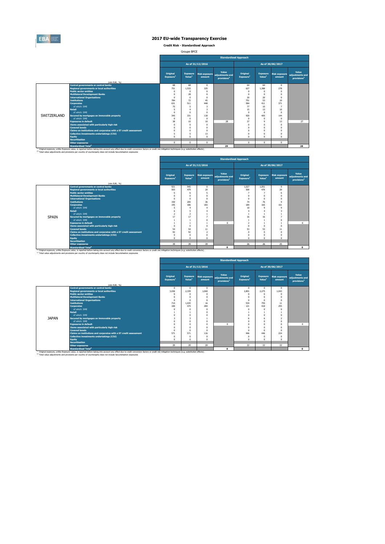

**Credit Risk - Standardised Approach**

Groupe BPCE

|             |                                                                                                                                                                                                                                                                                                                         | <b>Standardised Approach</b>      |                                       |                                |                                                     |                                   |                                       |                                |                                                     |  |  |  |  |
|-------------|-------------------------------------------------------------------------------------------------------------------------------------------------------------------------------------------------------------------------------------------------------------------------------------------------------------------------|-----------------------------------|---------------------------------------|--------------------------------|-----------------------------------------------------|-----------------------------------|---------------------------------------|--------------------------------|-----------------------------------------------------|--|--|--|--|
|             |                                                                                                                                                                                                                                                                                                                         |                                   |                                       | As of 31/12/2016               |                                                     |                                   |                                       | As of 30/06/2017               |                                                     |  |  |  |  |
|             |                                                                                                                                                                                                                                                                                                                         | Original<br>Exposure <sup>1</sup> | <b>Exposure</b><br>Value <sup>1</sup> | <b>Risk exposure</b><br>amount | Value<br>adiustments and<br>provisions <sup>2</sup> | Original<br>Exposure <sup>1</sup> | <b>Exposure</b><br>Value <sup>1</sup> | <b>Risk exposure</b><br>amount | Value<br>adjustments and<br>provisions <sup>2</sup> |  |  |  |  |
|             | (mln EUR, %)<br><b>Central governments or central banks</b>                                                                                                                                                                                                                                                             |                                   | 68                                    | $\Omega$                       |                                                     |                                   | 64                                    | $\Omega$                       |                                                     |  |  |  |  |
|             | <b>Regional governments or local authorities</b>                                                                                                                                                                                                                                                                        | 68<br>751                         | 1.533                                 | 335                            |                                                     | 64<br>627                         | 1.388                                 | 278                            |                                                     |  |  |  |  |
|             | <b>Public sector entities</b>                                                                                                                                                                                                                                                                                           | $\Omega$                          | n                                     | $\Omega$                       |                                                     | $\Omega$                          | $\Omega$                              | $\Omega$                       |                                                     |  |  |  |  |
|             | <b>Multilateral Development Banks</b>                                                                                                                                                                                                                                                                                   | $\Omega$                          | 28                                    | 0                              |                                                     | $\Omega$                          | 0                                     | $\Omega$                       |                                                     |  |  |  |  |
|             | <b>International Organisations</b>                                                                                                                                                                                                                                                                                      | $\Omega$                          | n                                     | n                              |                                                     | 20                                | 20                                    | $\Omega$                       |                                                     |  |  |  |  |
|             | <b>Institutions</b>                                                                                                                                                                                                                                                                                                     | 784                               | $\overline{\mathcal{D}}$              | 45                             |                                                     | 751                               | 53                                    | 10 <sup>10</sup>               |                                                     |  |  |  |  |
|             | <b>Corporates</b>                                                                                                                                                                                                                                                                                                       | 631                               | 511                                   | 448                            |                                                     | 584                               | 411                                   | 371                            |                                                     |  |  |  |  |
|             | of which: SMF                                                                                                                                                                                                                                                                                                           | 75                                | s                                     | 3                              |                                                     | 77                                | 10 <sub>10</sub>                      | 7                              |                                                     |  |  |  |  |
|             | <b>Retail</b>                                                                                                                                                                                                                                                                                                           |                                   |                                       | з                              |                                                     | 15                                | 13                                    | 10 <sup>10</sup>               |                                                     |  |  |  |  |
|             | of which: SMF                                                                                                                                                                                                                                                                                                           | $\Omega$                          | $\Omega$                              | n                              |                                                     | $\Omega$                          | $\Omega$                              | $\Omega$                       |                                                     |  |  |  |  |
| SWITZERLAND | Secured by mortgages on immovable property                                                                                                                                                                                                                                                                              | 345                               | 331                                   | 118                            |                                                     | 420                               | 405                                   | 144                            |                                                     |  |  |  |  |
|             | of which: SMF                                                                                                                                                                                                                                                                                                           | $\Omega$                          | $\Omega$                              | 0                              |                                                     | $\Omega$                          | $\Omega$                              | $\Omega$                       |                                                     |  |  |  |  |
|             | <b>Exposures in default</b>                                                                                                                                                                                                                                                                                             | 38                                | 10                                    | 10                             | 28                                                  | 37                                | $\mathbf{Q}$                          | 13                             | 27                                                  |  |  |  |  |
|             | Items associated with particularly high risk                                                                                                                                                                                                                                                                            | $\Omega$                          | $\Omega$                              | $\Omega$                       |                                                     | $\Omega$                          | 0                                     | $\Omega$                       |                                                     |  |  |  |  |
|             | <b>Covered bonds</b>                                                                                                                                                                                                                                                                                                    |                                   | $\Omega$                              | 0                              |                                                     | $\Omega$                          | n                                     | $\Omega$                       |                                                     |  |  |  |  |
|             | Claims on institutions and corporates with a ST credit assessment                                                                                                                                                                                                                                                       |                                   | n                                     | n                              |                                                     | $\Omega$                          | n                                     |                                |                                                     |  |  |  |  |
|             | Collective investments undertakings (CIU)                                                                                                                                                                                                                                                                               |                                   | 5                                     | 13                             |                                                     | $\Omega$                          | n                                     |                                |                                                     |  |  |  |  |
|             | <b>Equity</b>                                                                                                                                                                                                                                                                                                           |                                   | $\Omega$                              | 0                              |                                                     | $\Omega$                          | n                                     |                                |                                                     |  |  |  |  |
|             | <b>Securitisation</b>                                                                                                                                                                                                                                                                                                   |                                   |                                       |                                |                                                     |                                   |                                       |                                |                                                     |  |  |  |  |
|             | <b>Other exposures</b>                                                                                                                                                                                                                                                                                                  | $\Omega$                          | $\Omega$                              | $\Omega$                       |                                                     | $\Omega$                          | $\Omega$                              | $\Omega$                       |                                                     |  |  |  |  |
|             | <b>Standardised Total<sup>2</sup></b>                                                                                                                                                                                                                                                                                   |                                   |                                       |                                | 29                                                  |                                   |                                       |                                | 28                                                  |  |  |  |  |
|             | (1) Original exposure, unlike Exposure value, is reported before taking into account any effect due to credit conversion factors or credit risk mitigation techniques (e.g. substitution effects).<br>(2) Total value adjustments and provisions per country of counterparty does not include Securistisation exposures |                                   |                                       |                                |                                                     |                                   |                                       |                                |                                                     |  |  |  |  |

|              |                                                                   |                                   |                                       |                                |                                                     | <b>Standardised Approach</b>      |                                       |                                |                                                     |
|--------------|-------------------------------------------------------------------|-----------------------------------|---------------------------------------|--------------------------------|-----------------------------------------------------|-----------------------------------|---------------------------------------|--------------------------------|-----------------------------------------------------|
|              |                                                                   |                                   |                                       | As of 31/12/2016               |                                                     |                                   |                                       | As of 30/06/2017               |                                                     |
|              |                                                                   | Original<br>Exposure <sup>1</sup> | <b>Exposure</b><br>Value <sup>1</sup> | <b>Risk exposure</b><br>amount | Value<br>adjustments and<br>provisions <sup>2</sup> | Original<br>Exposure <sup>1</sup> | <b>Exposure</b><br>Value <sup>1</sup> | <b>Risk exposure</b><br>amount | Value<br>adjustments and<br>provisions <sup>2</sup> |
|              | (mln EUR, %)<br><b>Central governments or central banks</b>       | 921                               | 945                                   |                                |                                                     | 1,027                             | 1.051                                 | $\circ$                        |                                                     |
|              | <b>Regional governments or local authorities</b>                  | 503                               | 479                                   | 0<br>20                        |                                                     | 500                               | 476                                   | 20                             |                                                     |
|              | <b>Public sector entities</b>                                     | 5                                 | 6                                     | 5                              |                                                     | n,                                |                                       | 6                              |                                                     |
|              | <b>Multilateral Development Banks</b>                             | $\mathbf 0$                       | $\mathbf{0}$                          | n                              |                                                     | $\Omega$                          | $\Omega$                              | $\Omega$                       |                                                     |
|              | <b>International Organisations</b>                                | $^{\circ}$                        | $\Omega$                              | n                              |                                                     | $\Omega$                          | $\Omega$                              | $\Omega$                       |                                                     |
|              | <b>Institutions</b>                                               | 150                               | 205                                   | 36                             |                                                     | 74                                | 76                                    | $\circ$                        |                                                     |
|              | <b>Corporates</b>                                                 | 195                               | 186                                   | 183                            |                                                     | 184                               | 165                                   | 161                            |                                                     |
|              | of which: SME                                                     | 5                                 | 4                                     |                                |                                                     | 10                                | $\mathbf{Q}$                          | $\mathbf{Q}$                   |                                                     |
|              | <b>Retail</b>                                                     | 6                                 | 5                                     |                                |                                                     | 4                                 |                                       | 3                              |                                                     |
|              | of which: SMF                                                     | $\overline{2}$                    | $\overline{2}$                        |                                |                                                     |                                   |                                       |                                |                                                     |
| <b>SPAIN</b> | Secured by mortgages on immovable property                        | 17                                | 17                                    | ۰,                             |                                                     | 16                                | 16                                    | ٠                              |                                                     |
|              | of which: SMF                                                     |                                   |                                       | n                              |                                                     |                                   |                                       | $\Omega$                       |                                                     |
|              | <b>Exposures in default</b>                                       |                                   |                                       |                                | $\Omega$                                            | $\overline{2}$                    |                                       |                                | $\circ$                                             |
|              | Items associated with particularly high risk                      | $\Omega$                          | $\Omega$                              | n                              |                                                     | $\Omega$                          | $\Omega$                              | $\Omega$                       |                                                     |
|              | <b>Covered bonds</b>                                              | 54                                | 54                                    | 11                             |                                                     | 53                                | 53                                    | 11                             |                                                     |
|              | Claims on institutions and corporates with a ST credit assessment | 92<br>$\Omega$                    | 92<br>$\mathbf{0}$                    | $\overline{ }$                 |                                                     | 0                                 | $\Omega$                              | $\Omega$                       |                                                     |
|              | Collective investments undertakings (CIU)                         |                                   |                                       | O                              |                                                     | n                                 | $\Omega$                              | $\Omega$                       |                                                     |
|              | Equity                                                            | $\Omega$                          | $\Omega$                              | n                              |                                                     | $\Omega$                          | $\Omega$                              | $\Omega$                       |                                                     |
|              | <b>Securitisation</b>                                             |                                   |                                       |                                |                                                     |                                   |                                       |                                |                                                     |
|              | <b>Other exposures</b>                                            | 39                                | 39                                    | 39                             |                                                     | 26                                | 26                                    | 25                             |                                                     |
|              | <b>Standardised Total<sup>2</sup></b>                             |                                   |                                       |                                | $\mathbf{0}$                                        |                                   |                                       |                                | $\mathbf{o}$                                        |

<sup>10</sup> Original exposure, unlike Exposure Total of Total Total Total Count any effect due to credit conversion factors or credit risk mitigation techniques (e.g. substitution effects).<br><sup>21</sup> Total value adjustments and provis

|              |                                                                        |                                                                      |                                       |                  | <b>Standardised Approach</b>                                      |                                   |                                       |                                |                                                     |  |
|--------------|------------------------------------------------------------------------|----------------------------------------------------------------------|---------------------------------------|------------------|-------------------------------------------------------------------|-----------------------------------|---------------------------------------|--------------------------------|-----------------------------------------------------|--|
|              |                                                                        |                                                                      |                                       | As of 31/12/2016 |                                                                   |                                   |                                       | As of 30/06/2017               |                                                     |  |
|              |                                                                        | <b>Original</b><br>Exposure <sup>1</sup>                             | <b>Exposure</b><br>Value <sup>1</sup> | amount           | Value<br>Risk exposure adjustments and<br>provisions <sup>2</sup> | Original<br>Exposure <sup>1</sup> | <b>Exposure</b><br>Value <sup>1</sup> | <b>Risk exposure</b><br>amount | Value<br>adjustments and<br>provisions <sup>2</sup> |  |
|              | (mln EUR, %)                                                           |                                                                      |                                       |                  |                                                                   |                                   |                                       |                                |                                                     |  |
|              | <b>Central governments or central banks</b>                            | $^{\circ}$                                                           | $\Omega$                              | $\Omega$         |                                                                   | $\Omega$                          | $\mathbf{0}$                          | $\Omega$                       |                                                     |  |
|              | <b>Regional governments or local authorities</b>                       | 3.036                                                                | 2.339                                 | 1.060            |                                                                   | 2.801                             | 2.275                                 | 1.043                          |                                                     |  |
|              | <b>Public sector entities</b><br><b>Multilateral Development Banks</b> | $\Omega$<br>$\Omega$                                                 | $\Omega$<br>O                         | $\Omega$         |                                                                   | $\Omega$<br>$\Omega$              | $\Omega$<br>$\Omega$                  | $\Omega$<br>$\Omega$           |                                                     |  |
|              | <b>International Organisations</b>                                     | $\Omega$                                                             | $\Omega$                              |                  |                                                                   |                                   | $\Omega$                              |                                |                                                     |  |
| <b>JAPAN</b> | <b>Institutions</b>                                                    | 714                                                                  | 1.035                                 | $\Omega$<br>16   |                                                                   | $^{\circ}$<br>534                 | 755                                   | $\Omega$<br>11                 |                                                     |  |
|              | <b>Corporates</b>                                                      | 100                                                                  | 475                                   | 284              |                                                                   | 121                               | 418                                   | 255                            |                                                     |  |
|              | of which: SMF                                                          | $\Omega$                                                             |                                       |                  |                                                                   | $\Omega$                          | $\Omega$                              | $\Omega$                       |                                                     |  |
|              | <b>Retail</b>                                                          |                                                                      |                                       |                  |                                                                   |                                   |                                       |                                |                                                     |  |
|              | of which: SMF                                                          | $\Omega$                                                             | O                                     |                  |                                                                   | $\Omega$                          | $\Omega$                              |                                |                                                     |  |
|              | Secured by mortgages on immovable property                             | 3                                                                    | з                                     |                  |                                                                   | 6                                 | 6                                     | $\overline{\phantom{a}}$       |                                                     |  |
|              | of which: SMF                                                          | $\Omega$                                                             | O                                     |                  |                                                                   | $\Omega$                          | $\Omega$                              | $\Omega$                       |                                                     |  |
|              | <b>Exposures in default</b>                                            | $\Omega$                                                             | $\theta$                              | $\Omega$         | $\Omega$                                                          | $\Omega$                          | $\Omega$                              | $\Omega$                       | $\Omega$                                            |  |
|              | Items associated with particularly high risk                           | $\Omega$                                                             | O                                     |                  |                                                                   | $\Omega$                          | $\Omega$                              | $\Omega$                       |                                                     |  |
|              | <b>Covered bonds</b>                                                   | $\Omega$                                                             | n                                     | $\Omega$         |                                                                   | $\Omega$                          | $\Omega$                              | $\Omega$                       |                                                     |  |
|              | Claims on institutions and corporates with a ST credit assessment      | 571                                                                  | 571                                   | 116              |                                                                   | 446                               | 446                                   | 224                            |                                                     |  |
|              | <b>Collective investments undertakings (CIU)</b>                       | $\Omega$                                                             | $\Omega$                              | $\Omega$         |                                                                   | $^{\circ}$                        | $\Omega$                              | $\Omega$                       |                                                     |  |
|              | <b>Equity</b>                                                          | $\Omega$<br>$\Omega$<br>$\Omega$<br>$\Omega$<br>$\Omega$<br>$\Omega$ |                                       |                  |                                                                   |                                   |                                       |                                |                                                     |  |
|              | <b>Securitisation</b>                                                  |                                                                      |                                       |                  |                                                                   |                                   |                                       |                                |                                                     |  |
|              | <b>Other exposures</b>                                                 | 20                                                                   | 20                                    | 20               |                                                                   | 22                                | 22                                    | 22                             |                                                     |  |
|              | <b>Standardised Total<sup>2</sup></b>                                  |                                                                      |                                       |                  | $\Omega$                                                          |                                   |                                       |                                | $\Omega$                                            |  |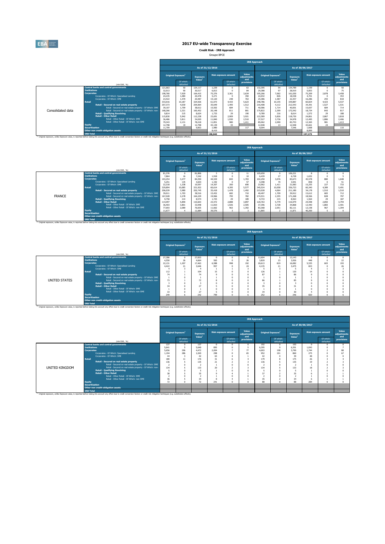

**Credit Risk - IRB Approach** Groupe BPCE

|                   |                       |                                                                                                                                                                                                               |         |                                       |                                       |                  |                             | <b>IRB Approach</b>         |         |                                |                                                                                                                                                                                                                                                                                                                                                                      |        |                        |                             |
|-------------------|-----------------------|---------------------------------------------------------------------------------------------------------------------------------------------------------------------------------------------------------------|---------|---------------------------------------|---------------------------------------|------------------|-----------------------------|-----------------------------|---------|--------------------------------|----------------------------------------------------------------------------------------------------------------------------------------------------------------------------------------------------------------------------------------------------------------------------------------------------------------------------------------------------------------------|--------|------------------------|-----------------------------|
|                   |                       |                                                                                                                                                                                                               |         |                                       |                                       | As of 31/12/2016 |                             |                             |         |                                |                                                                                                                                                                                                                                                                                                                                                                      |        |                        |                             |
|                   |                       |                                                                                                                                                                                                               |         | <b>Original Exposure</b> <sup>1</sup> | <b>Exposure</b><br>Value <sup>1</sup> |                  | <b>Risk exposure amount</b> | Value<br>adiustments<br>and |         | Original Exposure <sup>1</sup> | <b>Exposure</b>                                                                                                                                                                                                                                                                                                                                                      |        |                        | Value<br>adiustments<br>and |
|                   |                       | (mln EUR, %)                                                                                                                                                                                                  |         | Of which:<br>defaulted                |                                       |                  | Of which:<br>defaulted      | provisions                  |         | Of which:<br>defaulted         |                                                                                                                                                                                                                                                                                                                                                                      |        | Of which:<br>defaulted | provisions                  |
|                   |                       | <b>Central banks and central governments</b>                                                                                                                                                                  | 121.663 | 50                                    | 124.117                               | 1.239            |                             | 63                          | 132.395 | 54                             | 134,789                                                                                                                                                                                                                                                                                                                                                              | 1.159  | n                      | 50                          |
|                   | <b>Institutions</b>   |                                                                                                                                                                                                               | 32.013  | 90                                    | 30.517                                | 6.813            |                             | 84                          | 29,388  | 97                             |                                                                                                                                                                                                                                                                                                                                                                      |        |                        | 75                          |
|                   | <b>Corporates</b>     |                                                                                                                                                                                                               | 198,760 | 7,929                                 | 164,415                               | 75.376           | 3.361                       | 3.634                       | 195.266 | 7.062                          |                                                                                                                                                                                                                                                                                                                                                                      |        |                        | 3.458                       |
|                   |                       | Corporates - Of Which: Specialised Lending                                                                                                                                                                    | 24.235  | 1.084                                 | 20,478                                | 5.271            | - 0                         | 350                         | 22.032  | 826                            |                                                                                                                                                                                                                                                                                                                                                                      |        |                        | 353                         |
|                   |                       | Comorates - Of Which: SME                                                                                                                                                                                     | 23,422  | 1.470                                 | 20,487                                | 15.120           | 248                         | 763                         | 25,386  | 1.587                          |                                                                                                                                                                                                                                                                                                                                                                      |        |                        | 818                         |
|                   | <b>Retail</b>         |                                                                                                                                                                                                               | 333,016 | 10.187                                | 324,926                               | 61.073           | 4.433                       | 5.623                       | 348,786 | 10.155                         |                                                                                                                                                                                                                                                                                                                                                                      |        |                        | 5.537                       |
|                   |                       | Retail - Secured on real estate property                                                                                                                                                                      | 207,373 | 4.030                                 | 204.064                               | 35,649           | 1,495                       | 1.512                       | 216,408 | 4.112                          |                                                                                                                                                                                                                                                                                                                                                                      |        |                        | 1.531                       |
|                   |                       | Retail - Secured on real estate property - Of Which: SME                                                                                                                                                      | 39,107  | 1,709                                 | 38,612                                | 15.502           | 684                         | 711                         | 40,586  | 1.714                          |                                                                                                                                                                                                                                                                                                                                                                      |        |                        | 714                         |
| Consolidated data |                       | Retail - Secured on real estate property - Of Which: non-                                                                                                                                                     | 168,266 | 2.321                                 | 165.452                               | 20,148           | 811                         | 801                         | 175.822 | 2.399                          |                                                                                                                                                                                                                                                                                                                                                                      |        |                        | 817                         |
|                   |                       | <b>Retail - Qualifying Revolving</b>                                                                                                                                                                          | 9.814   | 215                                   | 8.624                                 | 1.733            | 29                          | 190                         | 9,789   | 216                            |                                                                                                                                                                                                                                                                                                                                                                      |        |                        | 188                         |
|                   |                       | <b>Retail - Other Retail</b>                                                                                                                                                                                  | 115,830 | 5.942                                 | 112.238                               | 23,691           | 2,909                       | 3.921                       | 122.589 | 5.826                          | 118,730                                                                                                                                                                                                                                                                                                                                                              | 24.861 |                        | 3,818                       |
|                   |                       | Retail - Other Retail - Of Which: SME                                                                                                                                                                         | 36,486  | 3.811                                 | 34.020                                | 11,840           | 1.930                       | 2.510                       | 37.527  | 3.736                          | 34,978                                                                                                                                                                                                                                                                                                                                                               | 12.495 | 1.886                  | 2.406                       |
|                   |                       | Retail - Other Retail - Of Which: non-SME                                                                                                                                                                     | 79.343  | 2.131                                 | 78.218                                | 11.851           | 980                         | 1.411                       | 85,062  | 2.090                          | 83.753                                                                                                                                                                                                                                                                                                                                                               | 12.365 | 981                    | 1.413                       |
|                   | <b>Equity</b>         |                                                                                                                                                                                                               | 12,798  | 19                                    | 12.798                                | 43.139           | 33                          |                             | 12,948  | 13                             | 12,948                                                                                                                                                                                                                                                                                                                                                               | 43.661 |                        |                             |
|                   | <b>Securitisation</b> |                                                                                                                                                                                                               | 11,709  |                                       | 9.853                                 | 1.980            |                             | 117                         | 9.094   |                                | As of 30/06/2017<br><b>Risk exposure amount</b><br>Value <sup>1</sup><br>28,919<br>5.853<br>2.878<br>161.030<br>75.209<br>18,538<br>4.701<br>255<br>22.357<br>16.286<br>339,887<br>60.824<br>4.423<br>34.391<br>1.527<br>212.543<br>684<br>40,001<br>15.657<br>18.734<br>172.542<br>843<br>29<br>1.572<br>8.614<br>2.867<br>24<br>7.546<br>1.668<br>8,899<br>197.273 |        | 110                    |                             |
|                   |                       | Other non credit-obligation assets                                                                                                                                                                            |         |                                       |                                       | 8.419            |                             |                             |         |                                |                                                                                                                                                                                                                                                                                                                                                                      |        |                        |                             |
|                   | <b>IRB Total</b>      |                                                                                                                                                                                                               |         |                                       |                                       | 198,040          |                             |                             |         |                                |                                                                                                                                                                                                                                                                                                                                                                      |        |                        |                             |
|                   |                       | <sup>(1)</sup> Original exposure, unlike Exposure value, is reported before taking into account any effect due to credit conversion factors or credit risk mitigation techniques (e.g. substitution effects). |         |                                       |                                       |                  |                             |                             |         |                                |                                                                                                                                                                                                                                                                                                                                                                      |        |                        |                             |

|               |                       |                                                                                                                                                                                                              |         |                                |                                       |        |                             |                             | <b>IRB Approach</b> |                                       |                                       |                  |                             |                             |
|---------------|-----------------------|--------------------------------------------------------------------------------------------------------------------------------------------------------------------------------------------------------------|---------|--------------------------------|---------------------------------------|--------|-----------------------------|-----------------------------|---------------------|---------------------------------------|---------------------------------------|------------------|-----------------------------|-----------------------------|
|               |                       |                                                                                                                                                                                                              |         |                                | As of 31/12/2016                      |        |                             |                             |                     |                                       |                                       | As of 30/06/2017 |                             |                             |
|               |                       |                                                                                                                                                                                                              |         | Original Exposure <sup>1</sup> | <b>Exposure</b><br>Value <sup>1</sup> |        | <b>Risk exposure amount</b> | Value<br>adiustments<br>and |                     | <b>Original Exposure</b> <sup>1</sup> | <b>Exposure</b><br>Value <sup>1</sup> |                  | <b>Risk exposure amount</b> | Value<br>adiustments<br>and |
|               |                       | (mln EUR. %)                                                                                                                                                                                                 |         | Of which:<br>defaulted         |                                       |        | Of which:<br>defaulted      | provisions                  |                     | Of which:<br>defaulted                |                                       |                  | Of which:<br>defaulted      | provisions                  |
|               |                       | <b>Central banks and central governments</b>                                                                                                                                                                 | 81.376  | -0                             | 81.806                                |        |                             | 11                          | 105,650             | $^{\circ}$                            | 106.221                               | -8               | n                           |                             |
|               | <b>Institutions</b>   |                                                                                                                                                                                                              | 7.864   | 16                             | 7.242                                 | 1.918  |                             | 10                          | 6.439               | 27                                    | 6.728                                 | 1.632            | $\Omega$                    |                             |
|               | <b>Corporates</b>     |                                                                                                                                                                                                              | 103.254 | 3.277                          | 84.350                                | 44,529 | 843                         | 1.703                       | 102.250             | 3.076                                 | 83,673                                | 45,578           | 880                         | 1.648                       |
|               |                       | Corporates - Of Which: Soecialised Lending                                                                                                                                                                   | 5.251   | 135                            | 4.654                                 | 1.192  | n                           | 57                          | 4.398               | 70                                    | 3.941                                 | 858              | - 0                         | 51                          |
|               |                       | Comorates - Of Which: SME                                                                                                                                                                                    | 22.318  | 1.338                          | 19.597                                | 14.307 | 200                         | 690                         | 23,962              | 1.411                                 | 21.083                                | 15.255           | 227                         | 733                         |
|               | <b>Retail</b>         |                                                                                                                                                                                                              | 329,894 | 10.085                         | 321.922                               | 60.614 | 4.395                       | 5.577                       | 345.524             | 10,058                                | 336.723                               | 60.340           | 4.389                       | 5.491                       |
|               |                       | <b>Retail - Secured on real estate property</b>                                                                                                                                                              | 206,039 | 3.980                          | 202.745                               | 35,418 | 1.478                       | 1.492                       | 215,028             | 4.064                                 | 211.180                               | 34.178           | 1.510                       | 1.510                       |
|               |                       | Retail - Secured on real estate property - Of Which: SME                                                                                                                                                     | 39.011  | 1.703                          | 38.516                                | 15.452 | 682                         | 710                         | 40,497              | 1,709                                 | 39.912                                | 15.612           | 683                         | 712                         |
| <b>FRANCE</b> |                       | Retail - Secured on real estate property - Of Which: non-                                                                                                                                                    | 167,028 | 2.278                          | 164.229                               | 19,966 | 795                         | 782                         | 174,531             | 2,355                                 | 171.268                               | 18,566           | 828                         | 797                         |
|               |                       | <b>Retail - Qualifying Revolving</b>                                                                                                                                                                         | 9.758   | 214                            | 8.574                                 | 1.725  | 29                          | 189                         | 9.733               | 215                                   | 8.563                                 | 1.564            | 29                          | 187                         |
|               |                       | <b>Retail - Other Retail</b>                                                                                                                                                                                 | 114,097 | 5,890                          | 110.603                               | 23,472 | 2,888                       | 3,897                       | 120,763             | 5,779                                 | 116.979                               | 24,598           | 2.850                       | 3.794                       |
|               |                       | Retail - Other Retail - Of Which: SME                                                                                                                                                                        | 36,403  | 3,801                          | 33,948                                | 11,810 | 1.926                       | 2.505                       | 37,396              | 3.728                                 | 34.868                                | 12,440           | 1.883                       | 2.401                       |
|               |                       | Retail - Other Retail - Of Which: non-SME                                                                                                                                                                    | 77.693  | 2.089                          | 76.655                                | 11,662 | 963                         | 1.392                       | 83,368              | 2.051                                 | 82.111                                | 12.158           | 967                         | 1.394                       |
|               | <b>Equity</b>         |                                                                                                                                                                                                              | 11.677  | $\overline{a}$                 | 11.684                                | 39,576 | ×                           |                             | 11.865              | $\overline{z}$                        | 11.871                                | 40,200           |                             |                             |
|               | <b>Securitisation</b> |                                                                                                                                                                                                              |         |                                |                                       |        |                             |                             |                     |                                       |                                       |                  |                             |                             |
|               |                       | Other non credit-obligation assets                                                                                                                                                                           |         |                                |                                       |        |                             |                             |                     |                                       |                                       |                  |                             |                             |
|               | <b>IRB Total</b>      |                                                                                                                                                                                                              |         |                                |                                       |        |                             |                             |                     |                                       |                                       |                  |                             |                             |
|               |                       | <sup>(3)</sup> Original exposure, unlike Exposure value, is reported before taking into account any effect due to credit conversion factors or credit risk mitigation techniques (e.g. substitution effects) |         |                                |                                       |        |                             |                             |                     |                                       |                                       |                  |                             |                             |

|               |                       |                                                                                                                                                                                                    |        |                          |                    |       |                             | <b>IRB Approach</b>  |                                |                        |                    |       |                             |                      |
|---------------|-----------------------|----------------------------------------------------------------------------------------------------------------------------------------------------------------------------------------------------|--------|--------------------------|--------------------|-------|-----------------------------|----------------------|--------------------------------|------------------------|--------------------|-------|-----------------------------|----------------------|
|               |                       |                                                                                                                                                                                                    |        |                          | As of 31/12/2016   |       |                             |                      |                                |                        | As of 30/06/2017   |       |                             |                      |
|               |                       |                                                                                                                                                                                                    |        | <b>Original Exposure</b> | Exposure           |       | <b>Risk exposure amount</b> | Value<br>adjustments | Original Exposure <sup>1</sup> |                        | Exposure           |       | <b>Risk exposure amount</b> | Value<br>adjustments |
|               |                       | (min EUR, %)                                                                                                                                                                                       |        | Of which:<br>defaulted   | Value <sup>1</sup> |       | Of which:<br>defaulted      | and<br>provisions    |                                | Of which:<br>defaulted | Value <sup>1</sup> |       | Of which:<br>defaulted      | and<br>provisions    |
|               |                       | <b>Central banks and central governments</b>                                                                                                                                                       | 27,286 | $\Omega$                 | 27,833             |       |                             |                      | 12,604                         |                        | 13.143             | n     |                             | $\Omega$             |
|               | <b>Institutions</b>   |                                                                                                                                                                                                    | 4,550  | 26                       | 4,664              | 565   |                             | 26                   | 3.820                          | 23                     | 3.926              | 448   |                             | 22                   |
|               | <b>Corporates</b>     |                                                                                                                                                                                                    | 22.131 | 1.207                    | 17,463             | 6,588 | 998                         | 192                  | 20.613                         | 819                    | 16.082             | 5.535 | 603                         | 193                  |
|               |                       | Corporates - Of Which: Specialised Lending                                                                                                                                                         | 4.422  | 21                       | 3.646              | 957   |                             | 24                   | 4.135                          | 21                     | 3.475              | 823   |                             | 26                   |
|               |                       | Corporates - Of Which: SME                                                                                                                                                                         |        |                          |                    |       |                             |                      |                                |                        |                    |       |                             |                      |
|               | <b>Retail</b>         |                                                                                                                                                                                                    | 112    |                          | 104                | 15    |                             |                      | 126                            |                        | 120                | 14    |                             |                      |
|               |                       | Retail - Secured on real estate property                                                                                                                                                           | 74     |                          | 74                 |       |                             |                      | 87                             |                        | 86                 |       |                             |                      |
|               |                       | Retail - Secured on real estate property - Of Which: SME                                                                                                                                           |        |                          |                    |       |                             |                      |                                |                        |                    |       |                             |                      |
| UNITED STATES |                       | Retail - Secured on real estate property - Of Which: non-                                                                                                                                          | 73     |                          | 72                 |       |                             |                      | 86                             |                        | 85                 |       |                             |                      |
|               |                       | <b>Retail - Qualifying Revolving</b>                                                                                                                                                               |        |                          |                    |       |                             |                      | 3                              |                        |                    |       |                             |                      |
|               |                       | <b>Retail - Other Retail</b>                                                                                                                                                                       | 34     |                          | 27                 |       |                             |                      | 35                             |                        | 31                 |       |                             |                      |
|               |                       | Retail - Other Retail - Of Which: SME                                                                                                                                                              |        |                          |                    |       |                             |                      |                                |                        |                    |       |                             |                      |
|               |                       | Retail - Other Retail - Of Which: non-SME                                                                                                                                                          | 33     |                          | 27                 |       |                             |                      | 34                             |                        | 30                 |       |                             |                      |
|               | <b>Equity</b>         |                                                                                                                                                                                                    | 249    |                          | 242                | 799   |                             |                      | 252                            |                        | 246                | 820   |                             |                      |
|               | <b>Securitisation</b> |                                                                                                                                                                                                    |        |                          |                    |       |                             |                      |                                |                        |                    |       |                             |                      |
|               |                       | Other non credit-obligation assets                                                                                                                                                                 |        |                          |                    |       |                             |                      |                                |                        |                    |       |                             |                      |
|               | <b>IRB Total</b>      |                                                                                                                                                                                                    |        |                          |                    |       |                             |                      |                                |                        |                    |       |                             |                      |
|               |                       | (3) Original exposure, unlike Exposure value, is reported before taking into account any effect due to credit conversion factors or credit risk mitigation techniques (e.g. substitution effects). |        |                          |                    |       |                             |                      |                                |                        |                    |       |                             |                      |

|                |                                                           | <b>IRB Approach</b> |                                |                                       |                  |                             |                             |       |                                |                                       |                             |                        |                             |
|----------------|-----------------------------------------------------------|---------------------|--------------------------------|---------------------------------------|------------------|-----------------------------|-----------------------------|-------|--------------------------------|---------------------------------------|-----------------------------|------------------------|-----------------------------|
|                |                                                           |                     |                                |                                       | As of 31/12/2016 |                             |                             |       |                                | As of 30/06/2017                      |                             |                        |                             |
|                |                                                           |                     | Original Exposure <sup>1</sup> | <b>Exposure</b><br>Value <sup>1</sup> |                  | <b>Risk exposure amount</b> | Value<br>adjustments<br>and |       | Original Exposure <sup>1</sup> | <b>Exposure</b><br>Value <sup>1</sup> | <b>Risk exposure amount</b> |                        | Value<br>adjustments<br>and |
|                | (min EUR, %)                                              |                     | Of which:<br>defaulted         |                                       |                  | Of which:<br>defaulted      | provisions                  |       | Of which:<br>defaulted         |                                       |                             | Of which:<br>defaulted | provisions                  |
|                | <b>Central banks and central governments</b>              | 137                 |                                | 137                                   |                  |                             | $\Omega$                    | 192   |                                | 193                                   |                             |                        |                             |
|                | <b>Institutions</b>                                       | 5.641               |                                | 5.640                                 | 895              | $\Omega$                    |                             | 6.395 | $\Omega$                       | 6.391                                 | 1.043                       |                        |                             |
|                | Corporates                                                | 5.656               | 296                            | 4.472                                 | 2.004            |                             | 77                          | 4.693 | 198                            | 3.790                                 | 1.744                       |                        | 88                          |
|                | Corporates - Of Which: Specialised Lending                | 1.194               | 286                            | 1.020                                 | 298              |                             | 65                          | 952   | 191                            | 860                                   | 275                         |                        | 67                          |
|                | Corporates - Of Which: SME                                | 44                  |                                | 42                                    | 63               |                             |                             | 42    |                                | 39                                    | 48                          |                        |                             |
|                | <b>Retail</b>                                             | 180                 |                                | 176                                   | 31               |                             |                             | 179   |                                | 175                                   | 26                          |                        |                             |
|                | Retail - Secured on real estate property                  | 136                 |                                | 135                                   | 21               |                             |                             | 136   |                                | 135                                   | 19                          |                        |                             |
|                | Retail - Secured on real estate property - Of Which: SME  | - 2                 |                                |                                       |                  |                             | n                           |       |                                |                                       |                             |                        |                             |
| UNITED KINGDOM | Retail - Secured on real estate property - Of Which: non- | 134                 |                                | 133                                   | 20               |                             |                             | 134   |                                | 133                                   | 18                          |                        |                             |
|                | <b>Retail - Qualifving Revolving</b>                      |                     |                                |                                       |                  |                             |                             |       |                                |                                       |                             |                        |                             |
|                | <b>Retail - Other Retail</b>                              | 38                  |                                | 35                                    |                  |                             |                             | 37    |                                | 35                                    |                             |                        |                             |
|                | Retail - Other Retail - Of Which: SME                     |                     |                                |                                       |                  | $\Omega$                    | Ò                           | ۸     |                                |                                       |                             |                        |                             |
|                | Retail - Other Retail - Of Which: non-SME                 | 36                  |                                | 34                                    |                  |                             |                             | 35    |                                | 34                                    |                             |                        |                             |
|                | <b>Equity</b>                                             | 72                  |                                | 72                                    | 241              |                             | Ò                           | 88    |                                | 88                                    | 284                         |                        |                             |
|                | <b>Securitisation</b>                                     |                     |                                |                                       |                  |                             |                             |       |                                |                                       |                             |                        |                             |
|                | Other non credit-obligation assets                        |                     |                                |                                       |                  |                             |                             |       |                                |                                       |                             |                        |                             |
|                | <b>TRB Total</b>                                          |                     |                                |                                       |                  |                             |                             |       |                                |                                       |                             |                        |                             |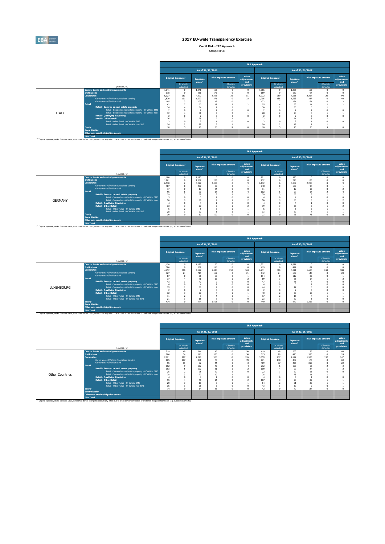

**Credit Risk - IRB Approach**

| Groupe BPCE |  |
|-------------|--|
|             |  |

|              |                                                                                                                                                                                                                                                                                                                                                    |                                                                           |                                |                                                         |                                        |                                                                      | <b>IRB Approach</b>         |                                                              |                                                          |                                                         |                                       |                             |                             |
|--------------|----------------------------------------------------------------------------------------------------------------------------------------------------------------------------------------------------------------------------------------------------------------------------------------------------------------------------------------------------|---------------------------------------------------------------------------|--------------------------------|---------------------------------------------------------|----------------------------------------|----------------------------------------------------------------------|-----------------------------|--------------------------------------------------------------|----------------------------------------------------------|---------------------------------------------------------|---------------------------------------|-----------------------------|-----------------------------|
|              |                                                                                                                                                                                                                                                                                                                                                    |                                                                           |                                | As of 31/12/2016                                        |                                        |                                                                      |                             |                                                              |                                                          |                                                         | As of 30/06/2017                      |                             |                             |
|              |                                                                                                                                                                                                                                                                                                                                                    |                                                                           | Original Exposure <sup>1</sup> | <b>Exposure</b><br>Value <sup>1</sup>                   | <b>Risk exposure amount</b>            |                                                                      | Value<br>adjustments<br>and | Original Exposure <sup>1</sup>                               |                                                          | <b>Exposure</b><br>Value <sup>1</sup>                   |                                       | <b>Risk exposure amount</b> | Value<br>adiustments<br>and |
|              | (min EUR. %)                                                                                                                                                                                                                                                                                                                                       |                                                                           | Of which:<br>defaulted         |                                                         |                                        | Of which:<br>defaulted                                               | provisions                  |                                                              | Of which:<br>defaulted                                   |                                                         |                                       | Of which:<br>defaulted      | provisions                  |
| <b>ITALY</b> | <b>Central banks and central governments</b><br><b>Institutions</b><br><b>Corporates</b><br>Corporates - Of Which: Specialised Lending<br>Comorates - Of Which: SME<br>Retail<br>Retail - Secured on real estate property<br>Retail - Secured on real estate property - Of Which: SME<br>Retail - Secured on real estate property - Of Which: non- | 1.341<br>318<br>5.127<br>1.820<br>105<br>62<br>34<br>$\overline{z}$<br>32 | 263<br>191                     | 1.341<br>281<br>4.392<br>1.697<br>103<br>60<br>34<br>31 | 163<br>175<br>2.225<br>371<br>42<br>17 | $\Omega$<br>$\Omega$<br>36<br>$\theta$<br>$\theta$<br>×,<br>$\Omega$ | 81<br>32<br>z               | 1.366<br>169<br>5,772<br>1.705<br>122<br>55<br>30<br>٠<br>28 | $\Omega$<br>$\Omega$<br>259<br>188<br>$\sim$<br>$\Omega$ | 1.366<br>180<br>4.555<br>1.563<br>121<br>53<br>30<br>28 | 163<br>94<br>2.214<br>337<br>61<br>14 | 20 <sub>0</sub>             | 94                          |
|              | <b>Retail - Qualifying Revolving</b><br><b>Retail - Other Retail</b><br>Retail - Other Retail - Of Which: SME<br>Retail - Other Retail - Of Which: non-SME<br>Equity<br><b>Securitisation</b><br>Other non credit-obligation assets                                                                                                                | 26<br>24<br>10 <sup>10</sup>                                              |                                | 25<br>22<br>10 <sub>1</sub>                             | 36                                     | n<br>19                                                              |                             | ٠<br>23<br>$\overline{\mathbf{3}}$<br>20<br>10 <sup>10</sup> | $\sim$<br>$\Omega$<br>5                                  | 21<br>19<br>$10 -$                                      | 36                                    | 19                          |                             |
|              | <b>IRB Total</b><br><sup>(1)</sup> Original exposure, unlike Exposure value, is reported before taking into account any effect due to credit conversion factors or credit risk mitigation techniques (e.g. substitution effects).                                                                                                                  |                                                                           |                                |                                                         |                                        |                                                                      |                             |                                                              |                                                          |                                                         |                                       |                             |                             |

|                |                       |                                                                                                                                                                                                               |       |                                |                                |       |                             |                             | <b>IRB Approach</b>            |                        |                                       |                                                                                         |  |                      |
|----------------|-----------------------|---------------------------------------------------------------------------------------------------------------------------------------------------------------------------------------------------------------|-------|--------------------------------|--------------------------------|-------|-----------------------------|-----------------------------|--------------------------------|------------------------|---------------------------------------|-----------------------------------------------------------------------------------------|--|----------------------|
|                |                       |                                                                                                                                                                                                               |       |                                | As of 31/12/2016               |       |                             |                             |                                |                        |                                       |                                                                                         |  |                      |
|                |                       |                                                                                                                                                                                                               |       | Original Exposure <sup>1</sup> | Exposure<br>Value <sup>1</sup> |       | <b>Risk exposure amount</b> | Value<br>adjustments<br>and | Original Exposure <sup>1</sup> |                        | <b>Exposure</b><br>Value <sup>1</sup> | <b>Risk exposure amount</b>                                                             |  | Value<br>adiustments |
|                |                       | (min EUR, %)                                                                                                                                                                                                  |       | Of which:<br>defaulted         |                                |       | Of which:<br>defaulted      | provisions                  |                                | Of which:<br>defaulted |                                       | As of 30/06/2017<br>Of which:<br>defaulted<br>n<br>173<br>2,288<br>97<br>16<br>14<br>78 |  | and<br>provisions    |
|                |                       | <b>Central banks and central governments</b>                                                                                                                                                                  | 1.100 |                                | 1.175                          | n     |                             |                             | 921                            | $\Omega$               | 990                                   |                                                                                         |  |                      |
|                | <b>Institutions</b>   |                                                                                                                                                                                                               | 1.261 |                                | 1.057                          | 233   |                             |                             | 932                            |                        | 728                                   |                                                                                         |  |                      |
|                | <b>Corporates</b>     |                                                                                                                                                                                                               | 6,530 |                                | 6.297                          | 2.487 |                             |                             | 6.132                          |                        | 5,889                                 |                                                                                         |  |                      |
|                |                       | Corporates - Of Which: Specialised Lending                                                                                                                                                                    | 487   |                                | 457                            | 85    |                             |                             | 748                            |                        | 667                                   |                                                                                         |  |                      |
|                |                       | Corporates - Of Which: SME                                                                                                                                                                                    | 17    |                                | 17                             | 24    |                             |                             | 11                             |                        | 12                                    |                                                                                         |  |                      |
|                | <b>Retail</b>         |                                                                                                                                                                                                               | 96    |                                | 90                             | 14    |                             |                             | 102                            |                        | 97                                    |                                                                                         |  |                      |
|                |                       | Retail - Secured on real estate property                                                                                                                                                                      | 59    |                                | 59                             |       |                             |                             | 59                             |                        | 58                                    |                                                                                         |  |                      |
|                |                       | Retail - Secured on real estate property - Of Which: SME                                                                                                                                                      |       |                                |                                |       |                             |                             |                                |                        |                                       |                                                                                         |  |                      |
| <b>GERMANY</b> |                       | Retail - Secured on real estate property - Of Which: non-                                                                                                                                                     | 56    |                                | 56                             |       |                             |                             | 56                             |                        | 55                                    |                                                                                         |  |                      |
|                |                       | <b>Retail - Qualifying Revolving</b>                                                                                                                                                                          |       |                                |                                |       |                             |                             |                                |                        |                                       |                                                                                         |  |                      |
|                |                       | <b>Retail - Other Retail</b>                                                                                                                                                                                  | 33    |                                | 27                             |       |                             |                             | 39                             |                        | 35                                    |                                                                                         |  |                      |
|                |                       | Retail - Other Retail - Of Which: SME                                                                                                                                                                         |       |                                |                                |       |                             |                             |                                |                        |                                       |                                                                                         |  |                      |
|                |                       | Retail - Other Retail - Of Which: non-SME                                                                                                                                                                     | 28    |                                | 22                             |       |                             |                             | 33                             |                        | 29                                    |                                                                                         |  |                      |
|                | <b>Equity</b>         |                                                                                                                                                                                                               | 30    |                                | 30                             | 109   |                             |                             | 23                             |                        | 23                                    |                                                                                         |  |                      |
|                | <b>Securitisation</b> |                                                                                                                                                                                                               |       |                                |                                |       |                             |                             |                                |                        |                                       |                                                                                         |  |                      |
|                |                       | Other non credit-obligation assets                                                                                                                                                                            |       |                                |                                |       |                             |                             |                                |                        |                                       |                                                                                         |  |                      |
|                | <b>IRB Total</b>      |                                                                                                                                                                                                               |       |                                |                                |       |                             |                             |                                |                        |                                       |                                                                                         |  |                      |
|                |                       | <sup>(1)</sup> Original exposure, unlike Exposure value, is reported before taking into account any effect due to credit conversion factors or credit risk mitigation techniques (e.g. substitution effects). |       |                                |                                |       |                             |                             |                                |                        |                                       |                                                                                         |  |                      |

|            |                                              |                                                           |       |                                |                                |                 |                             | <b>IRB Approach</b>         |       |                                |                                       |                  |                             |                      |
|------------|----------------------------------------------|-----------------------------------------------------------|-------|--------------------------------|--------------------------------|-----------------|-----------------------------|-----------------------------|-------|--------------------------------|---------------------------------------|------------------|-----------------------------|----------------------|
|            |                                              |                                                           |       |                                | As of 31/12/2016               |                 |                             |                             |       |                                | As of 30/06/2017                      |                  |                             |                      |
|            |                                              |                                                           |       | Original Exposure <sup>1</sup> | Exposure<br>Value <sup>1</sup> |                 | <b>Risk exposure amount</b> | Value<br>adjustments<br>and |       | Original Exposure <sup>1</sup> | <b>Exposure</b><br>Value <sup>1</sup> |                  | <b>Risk exposure amount</b> | Value<br>adiustments |
|            |                                              | (min EUR, %)                                              |       | Of which:<br>defaulted         |                                |                 | Of which:<br>defaulted      | provisions                  |       | Of which:<br>defaulted         |                                       |                  | Of which:<br>defaulted      | and<br>provisions    |
|            | <b>Central banks and central governments</b> |                                                           |       |                                |                                | 30 <sub>2</sub> |                             | $\Omega$                    | 1.871 |                                | 1.871                                 |                  |                             |                      |
|            | <b>Institutions</b>                          |                                                           |       |                                |                                | 115             |                             |                             | 419   |                                | 422                                   | 81               |                             |                      |
|            | <b>Corporates</b>                            |                                                           | 4.452 | 300                            | 4.122                          | 1.448           | 253                         | 163                         | 6.231 | 310                            | 5.811                                 | 1.683            | 243                         | 188                  |
|            |                                              | Corporates - Of Which: Soecialised Lending                | 727   | 24                             | 715                            | 159             | $\sim$                      | 21                          | 642   | 24                             | 607                                   | 140              |                             | 20                   |
|            |                                              | Corporates - Of Which: SME                                | 87    |                                | 86                             | 66              |                             |                             | 114   |                                | 112                                   | 85               |                             |                      |
|            | <b>Retail</b>                                |                                                           | 77    |                                |                                | 16              |                             |                             | 89    |                                | 85                                    | 17               |                             |                      |
|            |                                              | Retail - Secured on real estate property                  | 43    |                                | 10                             |                 |                             |                             | a m   |                                | 46                                    |                  |                             |                      |
|            |                                              | Retail - Secured on real estate property - Of Which: SME  |       |                                |                                |                 |                             |                             |       |                                |                                       |                  |                             |                      |
| LUXEMBOURG |                                              | Retail - Secured on real estate property - Of Which: non- | 39    |                                | 38                             |                 |                             |                             | 44    |                                | 42                                    |                  |                             |                      |
|            |                                              | <b>Retail - Qualifying Revolving</b>                      |       |                                |                                |                 |                             |                             |       |                                |                                       |                  |                             |                      |
|            |                                              | <b>Retail - Other Retail</b>                              | 32    |                                | 27                             |                 |                             |                             | 40    |                                | 37                                    | 10 <sup>10</sup> |                             |                      |
|            |                                              | Retail - Other Retail - Of Which: SME                     | 11    |                                |                                |                 |                             |                             | 17    |                                | 15                                    |                  |                             |                      |
|            |                                              | Retail - Other Retail - Of Which: non-SME                 | 21    |                                | 18                             |                 |                             |                             | 23    |                                | 22                                    |                  |                             |                      |
|            | <b>Equity</b>                                |                                                           | 474   |                                | 474                            | 1.408           |                             |                             | 440   |                                | 440                                   | 1.312            |                             |                      |
|            | <b>Securitisation</b>                        |                                                           |       |                                |                                |                 |                             |                             |       |                                |                                       |                  |                             |                      |
|            |                                              | Other non credit-obligation assets                        |       |                                |                                |                 |                             |                             |       |                                |                                       |                  |                             |                      |
|            | <b>IRB Total</b>                             |                                                           |       |                                |                                |                 |                             |                             |       |                                |                                       |                  |                             |                      |

|                        |                       |                                                                                                                                                                                                               |       |                                       |                                       |                  |                             | <b>IRB Approach</b>         |       |                                |                                       |                |                             |                             |
|------------------------|-----------------------|---------------------------------------------------------------------------------------------------------------------------------------------------------------------------------------------------------------|-------|---------------------------------------|---------------------------------------|------------------|-----------------------------|-----------------------------|-------|--------------------------------|---------------------------------------|----------------|-----------------------------|-----------------------------|
|                        |                       |                                                                                                                                                                                                               |       |                                       |                                       | As of 31/12/2016 |                             |                             |       |                                | As of 30/06/2017                      |                |                             |                             |
|                        |                       |                                                                                                                                                                                                               |       | <b>Original Exposure</b> <sup>1</sup> | <b>Exposure</b><br>Value <sup>1</sup> |                  | <b>Risk exposure amount</b> | Value<br>adiustments<br>and |       | Original Exposure <sup>1</sup> | <b>Exposure</b><br>Value <sup>1</sup> |                | <b>Risk exposure amount</b> | Value<br>adjustments<br>and |
|                        |                       | (mln EUR, %)                                                                                                                                                                                                  |       | Of which:<br>defaulted                |                                       |                  | Of which:<br>defaulted      | provisions                  |       | Of which:<br>defaulted         |                                       |                | Of which:<br>defaulted      | provisions                  |
|                        |                       | <b>Central banks and central governments</b>                                                                                                                                                                  | 219   | 49                                    | 344                                   | 46               | $\Omega$                    | 50                          | 419   | 48                             | 563                                   | 75             |                             | 48                          |
|                        | <b>Institutions</b>   |                                                                                                                                                                                                               | 706   | 34                                    | 616                                   | 386              | $\Omega$                    | 30                          | 515   | 29                             | 425                                   | 375            |                             | 28                          |
|                        | <b>Corporates</b>     |                                                                                                                                                                                                               | 2.721 | 297                                   | 2.248                                 | 906              | 10                          | 126                         | 3,659 | 437                            | 2.592                                 | 1.520          | 132                         | 147                         |
|                        |                       | Corporates - Of Which: Specialised Lending                                                                                                                                                                    | 805   | 167                                   | 481                                   | 70               | $\sqrt{2}$                  | 70                          | 971   | 148                            | 469                                   | 170            |                             | 69                          |
|                        |                       | Corporates - Of Which: SME                                                                                                                                                                                    | 55    | 11                                    | 52                                    | 44               |                             |                             | 469   | 37                             | 426                                   | 310            |                             | 22                          |
|                        | <b>Retail</b>         |                                                                                                                                                                                                               | 162   |                                       | 152                                   | 45               |                             |                             | 212   |                                | 193                                   | 66             |                             |                             |
|                        |                       | Retail - Secured on real estate property                                                                                                                                                                      | 103   |                                       | 102                                   | 31               |                             |                             | 100   |                                | 99                                    | $\overline{2}$ |                             |                             |
|                        |                       | Retail - Secured on real estate property - Of Which: SME                                                                                                                                                      | 25    |                                       | 25                                    | 20               |                             |                             | 22    |                                | $^{22}$                               | 16             |                             |                             |
| <b>Other Countries</b> |                       | Retail - Secured on real estate property - Of Which: non-                                                                                                                                                     | 78    |                                       | 77                                    | 10               |                             |                             | 78    |                                | 78                                    | 11             |                             |                             |
|                        |                       | <b>Retail - Qualifying Revolving</b>                                                                                                                                                                          |       |                                       |                                       |                  |                             | $\theta$                    |       |                                |                                       |                |                             |                             |
|                        |                       | <b>Retail - Other Retail</b>                                                                                                                                                                                  | 55    |                                       | 46                                    | 14               |                             |                             | 107   |                                | 90                                    | 39             |                             |                             |
|                        |                       | Retail - Other Retail - Of Which: SME                                                                                                                                                                         | 20    |                                       | 18                                    |                  |                             |                             | 64    |                                | 51                                    | 30             |                             |                             |
|                        |                       | Retail - Other Retail - Of Which: non-SME                                                                                                                                                                     | 35    |                                       | 28                                    |                  | $\sqrt{2}$                  |                             | 43    |                                | 39                                    |                |                             |                             |
|                        | <b>Equity</b>         |                                                                                                                                                                                                               | 14    |                                       | 14                                    | 35               | $\sim$                      |                             | 42    |                                | 42                                    | 134            |                             |                             |
|                        | <b>Securitisation</b> |                                                                                                                                                                                                               |       |                                       |                                       |                  |                             |                             |       |                                |                                       |                |                             |                             |
|                        |                       | Other non credit-obligation assets                                                                                                                                                                            |       |                                       |                                       |                  |                             |                             |       |                                |                                       |                |                             |                             |
|                        | <b>IRB Total</b>      |                                                                                                                                                                                                               |       |                                       |                                       |                  |                             |                             |       |                                |                                       |                |                             |                             |
|                        |                       | <sup>(1)</sup> Original exposure, unlike Exposure value, is reported before taking into account any effect due to credit conversion factors or credit risk mitigation techniques (e.g. substitution effects). |       |                                       |                                       |                  |                             |                             |       |                                |                                       |                |                             |                             |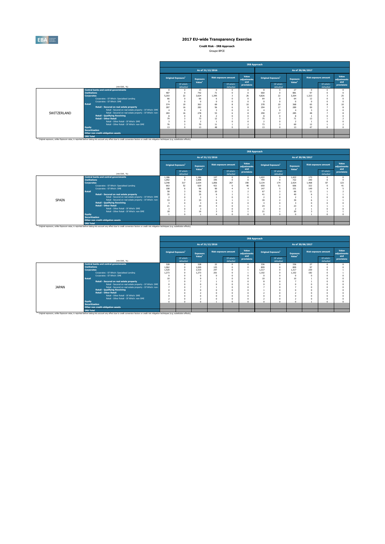

**Credit Risk - IRB Approach**

| Groupe BPCE |  |
|-------------|--|
|             |  |

|             |                       |                                                                                                                                                                                                               |                                       |                        |                                       |          |                             | <b>IRB Approach</b>         |                                |                        |                                       |          |                             |                             |
|-------------|-----------------------|---------------------------------------------------------------------------------------------------------------------------------------------------------------------------------------------------------------|---------------------------------------|------------------------|---------------------------------------|----------|-----------------------------|-----------------------------|--------------------------------|------------------------|---------------------------------------|----------|-----------------------------|-----------------------------|
|             |                       |                                                                                                                                                                                                               |                                       |                        | As of 31/12/2016                      |          |                             |                             |                                |                        | As of 30/06/2017                      |          |                             |                             |
|             |                       |                                                                                                                                                                                                               | <b>Original Exposure</b> <sup>1</sup> |                        | <b>Exposure</b><br>Value <sup>1</sup> |          | <b>Risk exposure amount</b> | Value<br>adjustments<br>and | Original Exposure <sup>1</sup> |                        | <b>Exposure</b><br>Value <sup>1</sup> |          | <b>Risk exposure amount</b> | Value<br>adjustments<br>and |
|             |                       | (min EUR, %)                                                                                                                                                                                                  |                                       | Of which:<br>defaulted |                                       |          | Of which:<br>defaulted      | provisions                  |                                | Of which:<br>defaulted |                                       |          | Of which:<br>defaulted      | provisions                  |
|             |                       | <b>Central banks and central governments</b>                                                                                                                                                                  |                                       |                        | 15                                    |          |                             | $\Omega$                    | 8                              |                        | 27                                    |          | n                           |                             |
|             | <b>Institutions</b>   |                                                                                                                                                                                                               | 487                                   |                        | 742                                   | 71       |                             | $\Omega$                    | 660                            | $\Omega$               | 881                                   | 97       |                             |                             |
|             | <b>Corporates</b>     |                                                                                                                                                                                                               | 5.203                                 | 22                     | 3.624                                 | 1.395    |                             | 26                          | 4.826                          | 22                     | 3.304                                 | 1.323    |                             | 25                          |
|             |                       | Corporates - Of Which: Specialised Lending                                                                                                                                                                    | 66                                    |                        | 66                                    |          |                             | $\Omega$                    | 64                             |                        | 64                                    |          |                             |                             |
|             | Retail                | Corporates - Of Which: SME                                                                                                                                                                                    |                                       |                        |                                       |          |                             | $\Omega$                    |                                |                        |                                       |          |                             |                             |
|             |                       |                                                                                                                                                                                                               | 374<br>287                            | 19<br>16               | 363<br>282                            | 69<br>56 |                             | 10<br>$\mathbf{g}$          | 378<br>294                     | 20<br>17               | 368<br>289                            | 65<br>50 |                             |                             |
|             |                       | Retail - Secured on real estate property<br>Retail - Secured on real estate property - Of Which: SME                                                                                                          |                                       |                        |                                       |          |                             | O                           |                                |                        |                                       |          |                             |                             |
| SWITZERLAND |                       | Retail - Secured on real estate property - Of Which: non-                                                                                                                                                     | 283                                   | 16                     | 278                                   | 53       |                             |                             | 290                            | 17                     | 285                                   |          |                             |                             |
|             |                       | <b>Retail - Qualifying Revolving</b>                                                                                                                                                                          |                                       |                        |                                       |          |                             | n                           |                                |                        |                                       |          |                             |                             |
|             |                       | <b>Retail - Other Retail</b>                                                                                                                                                                                  | 79                                    |                        | 73                                    | 12       |                             |                             | 75                             |                        | 71                                    | 13       |                             |                             |
|             |                       | Retail - Other Retail - Of Which: SME                                                                                                                                                                         |                                       |                        |                                       |          |                             |                             |                                |                        |                                       |          |                             |                             |
|             |                       | Retail - Other Retail - Of Which: non-SME                                                                                                                                                                     | 76                                    |                        | 70                                    | 11       |                             |                             | 73                             |                        | 69                                    | 12       |                             |                             |
|             | <b>Equity</b>         |                                                                                                                                                                                                               | 13                                    |                        | 13                                    | 48       |                             | $\Delta$                    | 13                             |                        | 13                                    | 47       | $\Omega$                    |                             |
|             | <b>Securitisation</b> |                                                                                                                                                                                                               |                                       |                        |                                       |          |                             |                             |                                |                        |                                       |          |                             |                             |
|             |                       | Other non credit-obligation assets                                                                                                                                                                            |                                       |                        |                                       |          |                             |                             |                                |                        |                                       |          |                             |                             |
|             | <b>IRB Total</b>      |                                                                                                                                                                                                               |                                       |                        |                                       |          |                             |                             |                                |                        |                                       |          |                             |                             |
|             |                       | <sup>(1)</sup> Original exposure, unlike Exposure value, is reported before taking into account any effect due to credit conversion factors or credit risk mitigation techniques (e.g. substitution effects). |                                       |                        |                                       |          |                             |                             |                                |                        |                                       |          |                             |                             |

|                                                                                                                                  |                                                                                                                                                                                                               |       |                                |                                |       |                             |                             | <b>IRB Approach</b> |                                |                                       |                             |                        |                             |
|----------------------------------------------------------------------------------------------------------------------------------|---------------------------------------------------------------------------------------------------------------------------------------------------------------------------------------------------------------|-------|--------------------------------|--------------------------------|-------|-----------------------------|-----------------------------|---------------------|--------------------------------|---------------------------------------|-----------------------------|------------------------|-----------------------------|
|                                                                                                                                  |                                                                                                                                                                                                               |       |                                | As of 31/12/2016               |       |                             |                             |                     |                                | As of 30/06/2017                      |                             |                        |                             |
|                                                                                                                                  |                                                                                                                                                                                                               |       | Original Exposure <sup>1</sup> | Exposure<br>Value <sup>1</sup> |       | <b>Risk exposure amount</b> | Value<br>adiustments<br>and |                     | Original Exposure <sup>1</sup> | <b>Exposure</b><br>Value <sup>1</sup> | <b>Risk exposure amount</b> |                        | Value<br>adiustments<br>and |
|                                                                                                                                  | (min EUR, %)                                                                                                                                                                                                  |       | Of which:<br>defaulted         |                                |       | Of which:<br>defaulted      | provisions                  |                     | Of which:<br>defaulted         |                                       |                             | Of which:<br>defaulted | provisions                  |
|                                                                                                                                  | <b>Central banks and central governments</b>                                                                                                                                                                  | 1.186 |                                | 1.186                          | 127   | $\Omega$                    |                             | 1.422               | $\Omega$                       | 1.422                                 | 173                         | n                      |                             |
|                                                                                                                                  |                                                                                                                                                                                                               | 1.092 |                                | 1,008                          | 345   |                             |                             | 794                 |                                | 722                                   | 240                         |                        |                             |
|                                                                                                                                  |                                                                                                                                                                                                               | 3.348 | 317                            | 2.634                          | 1.856 | 267                         | 190                         | 3.134               | 174                            | 2.424                                 | 1.468                       | 87                     | 123                         |
| <b>Institutions</b><br><b>Corporates</b><br><b>Retail</b><br>SPAIN<br><b>Equity</b><br><b>Securitisation</b><br><b>IRB Total</b> | Corporates - Of Which: Soecialised Lending                                                                                                                                                                    | 663   | 52                             | 620                            | 421   | $\Omega$                    | 40                          | 650                 | 51                             | 606                                   | 322                         |                        | 41                          |
|                                                                                                                                  | Corporates - Of Which: SME                                                                                                                                                                                    | 108   |                                | 96                             | 90    |                             |                             | 147                 |                                | 151                                   | 149                         |                        |                             |
|                                                                                                                                  |                                                                                                                                                                                                               | 58    |                                | 56                             | 10    |                             |                             | 67                  |                                | 66                                    | 11                          |                        |                             |
|                                                                                                                                  | Retail - Secured on real estate property                                                                                                                                                                      | 35    |                                | 35                             |       |                             |                             | 41                  |                                | 40                                    |                             |                        |                             |
|                                                                                                                                  | Retail - Secured on real estate property - Of Which: SME                                                                                                                                                      | - 2   |                                |                                |       |                             |                             |                     |                                |                                       |                             |                        |                             |
|                                                                                                                                  | Retail - Secured on real estate property - Of Which: non-                                                                                                                                                     | 33    |                                | 33                             |       |                             |                             | 39                  |                                | 39                                    |                             |                        |                             |
|                                                                                                                                  | <b>Retail - Qualifying Revolving</b>                                                                                                                                                                          |       |                                |                                |       |                             |                             |                     |                                |                                       |                             |                        |                             |
|                                                                                                                                  | <b>Retail - Other Retail</b>                                                                                                                                                                                  | 21    |                                | 19                             |       |                             |                             | 24                  |                                | 23                                    |                             |                        |                             |
|                                                                                                                                  | Retail - Other Retail - Of Which: SME                                                                                                                                                                         |       |                                |                                |       |                             |                             |                     |                                |                                       |                             |                        |                             |
|                                                                                                                                  | Retail - Other Retail - Of Which: non-SME                                                                                                                                                                     | 18    |                                | 16                             |       |                             |                             | 21                  |                                | 20                                    |                             |                        |                             |
|                                                                                                                                  |                                                                                                                                                                                                               |       |                                |                                |       |                             |                             |                     |                                |                                       |                             |                        |                             |
|                                                                                                                                  |                                                                                                                                                                                                               |       |                                |                                |       |                             |                             |                     |                                |                                       |                             |                        |                             |
|                                                                                                                                  | Other non credit-obligation assets                                                                                                                                                                            |       |                                |                                |       |                             |                             |                     |                                |                                       |                             |                        |                             |
|                                                                                                                                  |                                                                                                                                                                                                               |       |                                |                                |       |                             |                             |                     |                                |                                       |                             |                        |                             |
|                                                                                                                                  | <sup>(3)</sup> Original exposure, unlike Exposure value, is reported before taking into account any effect due to credit conversion factors or credit risk mitigation techniques (e.g. substitution effects). |       |                                |                                |       |                             |                             |                     |                                |                                       |                             |                        |                             |

|              |                       |                                                                                                                                                                                                               |       |                                |                                       |     |                             | <b>IRB Approach</b>         |       |                                |                                       |     |                             |                             |
|--------------|-----------------------|---------------------------------------------------------------------------------------------------------------------------------------------------------------------------------------------------------------|-------|--------------------------------|---------------------------------------|-----|-----------------------------|-----------------------------|-------|--------------------------------|---------------------------------------|-----|-----------------------------|-----------------------------|
|              |                       |                                                                                                                                                                                                               |       |                                | As of 31/12/2016                      |     |                             |                             |       |                                | As of 30/06/2017                      |     |                             |                             |
|              |                       |                                                                                                                                                                                                               |       | Original Exposure <sup>1</sup> | <b>Exposure</b><br>Value <sup>1</sup> |     | <b>Risk exposure amount</b> | Value<br>adjustments<br>and |       | Original Exposure <sup>1</sup> | <b>Exposure</b><br>Value <sup>1</sup> |     | <b>Risk exposure amount</b> | Value<br>adjustments<br>and |
|              |                       | (min EUR. %)                                                                                                                                                                                                  |       | Of which:<br>defaulted         |                                       |     | Of which:<br>defaulted      | provisions                  |       | Of which:<br>defaulted         |                                       |     | Of which:<br>defaulted      | provisions                  |
|              |                       | <b>Central banks and central governments</b>                                                                                                                                                                  | 328   | $\Omega$                       | 328                                   | 22  | $\Omega$                    | $\Omega$                    | 336   |                                | 336                                   | 27  |                             |                             |
|              | <b>Institutions</b>   |                                                                                                                                                                                                               | 1.062 | $\Omega$                       | 1.020                                 | 125 | $\Omega$                    | n                           | 809   | n                              | 809                                   | 97  |                             |                             |
|              | <b>Corporates</b>     |                                                                                                                                                                                                               | 1.520 |                                | 1.519                                 | 247 |                             |                             | 1.317 |                                | 1.317                                 | 230 |                             |                             |
|              |                       | Corporates - Of Which: Specialised Lending                                                                                                                                                                    | 1.273 |                                | 1.273                                 | 201 |                             |                             | 1.102 |                                | 1.102                                 | 182 |                             |                             |
|              |                       | Corporates - Of Which: SME                                                                                                                                                                                    |       |                                |                                       |     |                             |                             |       |                                |                                       |     |                             |                             |
|              | <b>Retail</b>         |                                                                                                                                                                                                               | 10    |                                |                                       |     |                             |                             | 10    |                                | 10                                    |     |                             |                             |
|              |                       | Retail - Secured on real estate property                                                                                                                                                                      |       |                                |                                       |     |                             |                             |       |                                |                                       |     |                             |                             |
|              |                       | Retail - Secured on real estate property - Of Which: SME                                                                                                                                                      |       |                                |                                       |     |                             |                             |       |                                |                                       |     |                             |                             |
| <b>JAPAN</b> |                       | Retail - Secured on real estate property - Of Which: non-                                                                                                                                                     |       |                                |                                       |     |                             | $\Omega$                    |       |                                |                                       |     |                             |                             |
|              |                       | <b>Retail - Qualifving Revolving</b>                                                                                                                                                                          |       |                                |                                       |     |                             | $\Omega$                    |       |                                |                                       |     |                             |                             |
|              |                       | <b>Retail - Other Retail</b>                                                                                                                                                                                  |       |                                |                                       |     |                             |                             |       |                                |                                       |     |                             |                             |
|              |                       | Retail - Other Retail - Of Which: SME                                                                                                                                                                         |       |                                |                                       |     |                             | $\Omega$                    |       |                                |                                       |     |                             |                             |
|              |                       | Retail - Other Retail - Of Which: non-SME                                                                                                                                                                     |       |                                |                                       |     |                             | $\Omega$                    |       |                                |                                       |     |                             |                             |
|              | <b>Equity</b>         |                                                                                                                                                                                                               |       |                                |                                       |     |                             | Ò                           | n     |                                |                                       |     |                             |                             |
|              | <b>Securitisation</b> |                                                                                                                                                                                                               |       |                                |                                       |     |                             |                             |       |                                |                                       |     |                             |                             |
|              |                       | Other non credit-obligation assets                                                                                                                                                                            |       |                                |                                       |     |                             |                             |       |                                |                                       |     |                             |                             |
|              | <b>IRB Total</b>      |                                                                                                                                                                                                               |       |                                |                                       |     |                             |                             |       |                                |                                       |     |                             |                             |
|              |                       | <sup>(1)</sup> Original exposure, unlike Exposure value, is reported before taking into account any effect due to credit conversion factors or credit risk mitigation techniques (e.g. substitution effects). |       |                                |                                       |     |                             |                             |       |                                |                                       |     |                             |                             |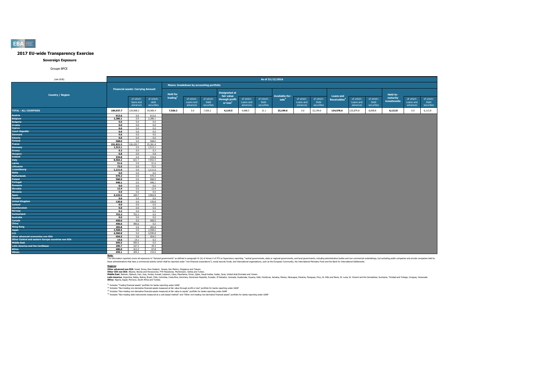#### **Sovereign Exposure**

#### Groupe BPCE

| (mln EUR)                                          |           |                                          |                                 |                 |                                         |                                 |                                    |                                    | As of 31/12/2016                |                  |                                    |                                 |                          |                                    |                                 |                         |                                    |                                 |
|----------------------------------------------------|-----------|------------------------------------------|---------------------------------|-----------------|-----------------------------------------|---------------------------------|------------------------------------|------------------------------------|---------------------------------|------------------|------------------------------------|---------------------------------|--------------------------|------------------------------------|---------------------------------|-------------------------|------------------------------------|---------------------------------|
|                                                    |           |                                          |                                 |                 | Memo: breakdown by accounting portfolio |                                 |                                    |                                    |                                 |                  |                                    |                                 |                          |                                    |                                 |                         |                                    |                                 |
| <b>Country / Region</b>                            |           | <b>Financial assets: Carrying Amount</b> |                                 | <b>Held for</b> |                                         |                                 | <b>Designated at</b><br>fair value |                                    |                                 | Available-for-   |                                    |                                 | <b>Loans and</b>         |                                    |                                 | Held-to-                |                                    |                                 |
|                                                    |           | of which:<br>loans and<br>advances       | of which:<br>debt<br>securities | trading         | of which:<br>Loans and<br>advances      | of which:<br>Debt<br>securities | through profit<br>or $loss2$       | of which:<br>Loans and<br>advances | of which:<br>Debt<br>securities | $\text{ sale}^3$ | of which:<br>Loans and<br>advances | of which:<br>Debt<br>securities | Receivables <sup>4</sup> | of which:<br>Loans and<br>advances | of which:<br>Debt<br>securities | maturity<br>investments | of which:<br>Loans and<br>advances | of which:<br>Debt<br>securities |
| <b>TOTAL - ALL COUNTRIES</b>                       | 184,937.7 | 129,968.3                                | 54,969.4                        | 7,926.2         | 0.0                                     | 7,926.2                         | 4,119.5                            | 4,088.5                            | 31.1                            | 32,199.6         | 0.0                                | 32,199.6                        | 134,578.6                | 125,879.8                          | 8,698.8                         | 6,113.8                 | 0.0                                | 6,113.8                         |
| <b>Austria</b>                                     | 913.6     | 0.0                                      | 913.6                           |                 |                                         |                                 |                                    |                                    |                                 |                  |                                    |                                 |                          |                                    |                                 |                         |                                    |                                 |
| <b>Belgium</b>                                     | 2,386.1   | 0.0                                      | 2,386.1                         |                 |                                         |                                 |                                    |                                    |                                 |                  |                                    |                                 |                          |                                    |                                 |                         |                                    |                                 |
| <b>Bulgaria</b>                                    | 0.0       | 0.0                                      | 0.0                             |                 |                                         |                                 |                                    |                                    |                                 |                  |                                    |                                 |                          |                                    |                                 |                         |                                    |                                 |
| <b>Croatia</b>                                     | 0.0       | 0.0                                      | 0.0                             |                 |                                         |                                 |                                    |                                    |                                 |                  |                                    |                                 |                          |                                    |                                 |                         |                                    |                                 |
| Cyprus                                             | 0.0       | 0.0                                      | 0.0                             |                 |                                         |                                 |                                    |                                    |                                 |                  |                                    |                                 |                          |                                    |                                 |                         |                                    |                                 |
| <b>Czech Republic</b>                              | 0.0       | 0.0                                      | 0.0                             |                 |                                         |                                 |                                    |                                    |                                 |                  |                                    |                                 |                          |                                    |                                 |                         |                                    |                                 |
| <b>Denmark</b>                                     | 9.6       | 0.0                                      | 9.6                             |                 |                                         |                                 |                                    |                                    |                                 |                  |                                    |                                 |                          |                                    |                                 |                         |                                    |                                 |
| <b>Estonia</b>                                     | 0.0       | 0.0                                      | 0.0                             |                 |                                         |                                 |                                    |                                    |                                 |                  |                                    |                                 |                          |                                    |                                 |                         |                                    |                                 |
| <b>Finland</b>                                     | 568.0     | 0.0                                      | 568.0                           |                 |                                         |                                 |                                    |                                    |                                 |                  |                                    |                                 |                          |                                    |                                 |                         |                                    |                                 |
| France                                             | 151,821.5 | 126.439.7                                | 25,381.8                        |                 |                                         |                                 |                                    |                                    |                                 |                  |                                    |                                 |                          |                                    |                                 |                         |                                    |                                 |
| <b>Germany</b>                                     | 1,513.1   | 0.0                                      | 1,513.1                         |                 |                                         |                                 |                                    |                                    |                                 |                  |                                    |                                 |                          |                                    |                                 |                         |                                    |                                 |
| Greece                                             | 0.3       | 0.0                                      | 0.3                             |                 |                                         |                                 |                                    |                                    |                                 |                  |                                    |                                 |                          |                                    |                                 |                         |                                    |                                 |
| <b>Hungary</b>                                     | 0.8       | 0.0                                      | 0.8                             |                 |                                         |                                 |                                    |                                    |                                 |                  |                                    |                                 |                          |                                    |                                 |                         |                                    |                                 |
| <b>Ireland</b>                                     | 334.8     | 0.0                                      | 334.8                           |                 |                                         |                                 |                                    |                                    |                                 |                  |                                    |                                 |                          |                                    |                                 |                         |                                    |                                 |
| <b>Italy</b>                                       | 8,564.2   | 621.7                                    | 7,942.5                         |                 |                                         |                                 |                                    |                                    |                                 |                  |                                    |                                 |                          |                                    |                                 |                         |                                    |                                 |
| Latvia                                             | 51.6      | 0.0                                      | 51.6                            |                 |                                         |                                 |                                    |                                    |                                 |                  |                                    |                                 |                          |                                    |                                 |                         |                                    |                                 |
| <b>Lithuania</b>                                   | 72.5      | 0.0                                      | 72.5                            |                 |                                         |                                 |                                    |                                    |                                 |                  |                                    |                                 |                          |                                    |                                 |                         |                                    |                                 |
| Luxembourg                                         | 1,111.6   | 0.0                                      | 1,111.6                         |                 |                                         |                                 |                                    |                                    |                                 |                  |                                    |                                 |                          |                                    |                                 |                         |                                    |                                 |
| <b>Malta</b>                                       | 0.0       | 0.0                                      | 0.0                             |                 |                                         |                                 |                                    |                                    |                                 |                  |                                    |                                 |                          |                                    |                                 |                         |                                    |                                 |
| <b>Netherlands</b>                                 | 970.3     | 0.0                                      | 970.3                           |                 |                                         |                                 |                                    |                                    |                                 |                  |                                    |                                 |                          |                                    |                                 |                         |                                    |                                 |
| Poland                                             | 560.5     | 0.0                                      | 560.5                           |                 |                                         |                                 |                                    |                                    |                                 |                  |                                    |                                 |                          |                                    |                                 |                         |                                    |                                 |
| Portugal                                           | 446.1     | 0.0                                      | 446.1                           |                 |                                         |                                 |                                    |                                    |                                 |                  |                                    |                                 |                          |                                    |                                 |                         |                                    |                                 |
| Romania                                            | 0.0       | 0.0                                      | 0.0                             |                 |                                         |                                 |                                    |                                    |                                 |                  |                                    |                                 |                          |                                    |                                 |                         |                                    |                                 |
| <b>Slovakia</b>                                    | 13.4      | 0.0                                      | 13.4                            |                 |                                         |                                 |                                    |                                    |                                 |                  |                                    |                                 |                          |                                    |                                 |                         |                                    |                                 |
| <b>Slovenia</b>                                    | 0.0       | 0.0                                      | 0.0                             |                 |                                         |                                 |                                    |                                    |                                 |                  |                                    |                                 |                          |                                    |                                 |                         |                                    |                                 |
| <b>Spain</b>                                       | 4,132.5   | 169.7                                    | 3,962.8                         |                 |                                         |                                 |                                    |                                    |                                 |                  |                                    |                                 |                          |                                    |                                 |                         |                                    |                                 |
| Sweden                                             | 0.0       | 0.0                                      | 0.0                             |                 |                                         |                                 |                                    |                                    |                                 |                  |                                    |                                 |                          |                                    |                                 |                         |                                    |                                 |
| <b>United Kinadom</b>                              | 120.8     | 0.0                                      | 120.8                           |                 |                                         |                                 |                                    |                                    |                                 |                  |                                    |                                 |                          |                                    |                                 |                         |                                    |                                 |
| <b>Iceland</b>                                     | 0.0       | 0.0                                      | 0.0                             |                 |                                         |                                 |                                    |                                    |                                 |                  |                                    |                                 |                          |                                    |                                 |                         |                                    |                                 |
| Liechtenstein                                      | 0.0       | 0.0                                      | 0.0                             |                 |                                         |                                 |                                    |                                    |                                 |                  |                                    |                                 |                          |                                    |                                 |                         |                                    |                                 |
| <b>Norway</b>                                      | 0.2       | 0.0                                      | 0.2                             |                 |                                         |                                 |                                    |                                    |                                 |                  |                                    |                                 |                          |                                    |                                 |                         |                                    |                                 |
| <b>Switzerland</b>                                 | 752.3     | 752.3                                    | 0.0                             |                 |                                         |                                 |                                    |                                    |                                 |                  |                                    |                                 |                          |                                    |                                 |                         |                                    |                                 |
| <b>Australia</b>                                   | 0.0       | 0.0                                      | 0.0                             |                 |                                         |                                 |                                    |                                    |                                 |                  |                                    |                                 |                          |                                    |                                 |                         |                                    |                                 |
| Canada                                             | 450.0     | 0.0                                      | 450.0                           |                 |                                         |                                 |                                    |                                    |                                 |                  |                                    |                                 |                          |                                    |                                 |                         |                                    |                                 |
| China                                              | 490.6     | 490.6                                    | 0.0                             |                 |                                         |                                 |                                    |                                    |                                 |                  |                                    |                                 |                          |                                    |                                 |                         |                                    |                                 |
| <b>Hong Kong</b>                                   | 283.8     | 0.0                                      | 283.8                           |                 |                                         |                                 |                                    |                                    |                                 |                  |                                    |                                 |                          |                                    |                                 |                         |                                    |                                 |
| Japan                                              | 2.568.6   | 0.0                                      | 2.568.6                         |                 |                                         |                                 |                                    |                                    |                                 |                  |                                    |                                 |                          |                                    |                                 |                         |                                    |                                 |
| <b>U.S.</b>                                        | 4,590.8   | 0.0                                      | 4,590.8                         |                 |                                         |                                 |                                    |                                    |                                 |                  |                                    |                                 |                          |                                    |                                 |                         |                                    |                                 |
| Other advanced economies non EEA                   | 454.5     | 0.0                                      | 454.5                           |                 |                                         |                                 |                                    |                                    |                                 |                  |                                    |                                 |                          |                                    |                                 |                         |                                    |                                 |
| Other Central and eastern Europe countries non EEA | 14.6      | 14.1                                     | 0.5                             |                 |                                         |                                 |                                    |                                    |                                 |                  |                                    |                                 |                          |                                    |                                 |                         |                                    |                                 |
| <b>Middle East</b>                                 | 595.5     | 595.5                                    | 0.0                             |                 |                                         |                                 |                                    |                                    |                                 |                  |                                    |                                 |                          |                                    |                                 |                         |                                    |                                 |
| <b>Latin America and the Caribbean</b>             | 206.7     | 167.2                                    | 39.4                            |                 |                                         |                                 |                                    |                                    |                                 |                  |                                    |                                 |                          |                                    |                                 |                         |                                    |                                 |
| <b>Africa</b>                                      | 480.0     | 412.2                                    | 67.8                            |                 |                                         |                                 |                                    |                                    |                                 |                  |                                    |                                 |                          |                                    |                                 |                         |                                    |                                 |
| <b>Others</b>                                      | 459.1     | 305.2                                    | 154.0                           |                 |                                         |                                 |                                    |                                    |                                 |                  |                                    |                                 |                          |                                    |                                 |                         |                                    |                                 |

Note:<br>The information reported covers all exposures to "General governments" as defined in paraggin 41 (b) of Annex V of ITS on Supervisory reporting: "central governments, state or regional governments, and both governmen

**Redions:**<br>Other afvanced non EEA: Israel, Korea, New Zealand, Russia, San Marino, Singore and Taiwan.<br>Middle East: Bahain, Dilouti, Iran, Iran, Jordan, Kuran, Libya, Mewhamenn: Semina, Oman, Suna, Suna, Suna, United Arab

(1) Includes "Trading financial assets" portfolio for banks reporting under GAAP

<sup>(2)</sup> Includes "Non-trading non-derivative financial assets measured at fair value through profit or loss" portfolio for banks reporting under GAAP<br><sup>03</sup> Includes "Non-trading non-derivative financial and and the major bank

**EBA**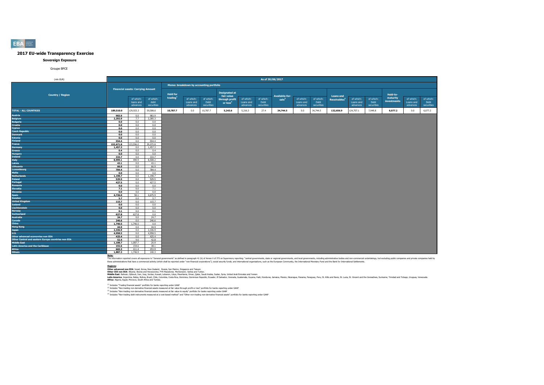#### **Sovereign Exposure**

#### Groupe BPCE

| (mln EUR)                                          |                |                                          |                |                 |                                         |            |                      |           | As of 30/06/2017 |                   |           |            |                          |           |            |             |           |            |
|----------------------------------------------------|----------------|------------------------------------------|----------------|-----------------|-----------------------------------------|------------|----------------------|-----------|------------------|-------------------|-----------|------------|--------------------------|-----------|------------|-------------|-----------|------------|
|                                                    |                |                                          |                |                 |                                         |            |                      |           |                  |                   |           |            |                          |           |            |             |           |            |
|                                                    |                |                                          |                |                 | Memo: breakdown by accounting portfolio |            |                      |           |                  |                   |           |            |                          |           |            |             |           |            |
|                                                    |                | <b>Financial assets: Carrying Amount</b> |                |                 |                                         |            | <b>Designated at</b> |           |                  |                   |           |            |                          |           |            |             |           |            |
| <b>Country / Region</b>                            |                |                                          |                | <b>Held for</b> |                                         |            | fair value           |           |                  | Available-for-    |           |            | <b>Loans and</b>         |           |            | Held-to-    |           |            |
|                                                    |                | of which:                                | of which:      | trading         | of which:                               | of which:  | through profit       | of which: | of which:        | sale <sup>3</sup> | of which: | of which:  | Receivables <sup>4</sup> | of which: | of which:  | maturity    | of which: | of which:  |
|                                                    |                | loans and                                | debt           |                 | Loans and                               | Debt       | or loss <sup>2</sup> | Loans and | Debt             |                   | Loans and | Debt       |                          | Loans and | Debt       | investments | Loans and | Debt       |
|                                                    |                | advances                                 | securities     |                 | advances                                | securities |                      | advances  | securities       |                   | advances  | securities |                          | advances  | securities |             | advances  | securities |
| <b>TOTAL - ALL COUNTRIES</b>                       | 189,510.0      | 129,923.3                                | 59,586.6       | 10,787.7        | 0.0                                     | 10,787.7   | 5,243.6              | 5,216.3   | 27.4             | 34,744.5          | 0.0       | 34,744.5   | 132,656.9                | 124,707.1 | 7,949.8    | 6,077.2     | 0.0       | 6,077.2    |
| Austria                                            | 983.9          | 0.0                                      | 983.9          |                 |                                         |            |                      |           |                  |                   |           |            |                          |           |            |             |           |            |
| <b>Belgium</b>                                     | 2,292.9        | 7.7                                      | 2,285.3        |                 |                                         |            |                      |           |                  |                   |           |            |                          |           |            |             |           |            |
| <b>Bulgaria</b>                                    | 0.0            | 0.0                                      | 0.0            |                 |                                         |            |                      |           |                  |                   |           |            |                          |           |            |             |           |            |
| Croatia                                            | 0.0            | 0.0                                      | 0.0            |                 |                                         |            |                      |           |                  |                   |           |            |                          |           |            |             |           |            |
| Cyprus                                             | 0.0            | 0.0                                      | 0.0            |                 |                                         |            |                      |           |                  |                   |           |            |                          |           |            |             |           |            |
| <b>Czech Republic</b>                              | 0.0            | 0.0                                      | 0.0            |                 |                                         |            |                      |           |                  |                   |           |            |                          |           |            |             |           |            |
| <b>Denmark</b><br><b>Estonia</b>                   | 0.0            | 0.0<br>0.0                               | 0.0<br>0.0     |                 |                                         |            |                      |           |                  |                   |           |            |                          |           |            |             |           |            |
| <b>Finland</b>                                     | 0.0<br>554.4   | 0.0                                      | 554.4          |                 |                                         |            |                      |           |                  |                   |           |            |                          |           |            |             |           |            |
| France                                             | 152,671.8      | 23,596.0                                 | 29.075.8       |                 |                                         |            |                      |           |                  |                   |           |            |                          |           |            |             |           |            |
| <b>Germany</b>                                     | 1,457.3        | 0.0                                      | 1,457.3        |                 |                                         |            |                      |           |                  |                   |           |            |                          |           |            |             |           |            |
| Greece                                             | 0.4            | 0.0                                      | 0.4            |                 |                                         |            |                      |           |                  |                   |           |            |                          |           |            |             |           |            |
| <b>Hungary</b>                                     | 0.0            | 0.0                                      | 0.0            |                 |                                         |            |                      |           |                  |                   |           |            |                          |           |            |             |           |            |
| Ireland                                            | 333.7          | 0.0                                      | 333.7          |                 |                                         |            |                      |           |                  |                   |           |            |                          |           |            |             |           |            |
| <b>Italy</b>                                       | 8,999.1        | 490.9                                    | 8,508.2        |                 |                                         |            |                      |           |                  |                   |           |            |                          |           |            |             |           |            |
| Latvia                                             | 43.1           | 0.0                                      | 43.1           |                 |                                         |            |                      |           |                  |                   |           |            |                          |           |            |             |           |            |
| Lithuania                                          | 66.9           | 0.0                                      | 66.9           |                 |                                         |            |                      |           |                  |                   |           |            |                          |           |            |             |           |            |
| Luxembourg                                         | 784.4          | 0.0                                      | 784.4          |                 |                                         |            |                      |           |                  |                   |           |            |                          |           |            |             |           |            |
| Malta                                              | 0.0            | 0.0                                      | 0.0            |                 |                                         |            |                      |           |                  |                   |           |            |                          |           |            |             |           |            |
| <b>Netherlands</b>                                 | 1,198.7        | 0.0                                      | 1,198.7        |                 |                                         |            |                      |           |                  |                   |           |            |                          |           |            |             |           |            |
| Poland                                             | 529.5          | 0.0                                      | 529.5          |                 |                                         |            |                      |           |                  |                   |           |            |                          |           |            |             |           |            |
| Portugal                                           | 427.5          | 0.0                                      | 427.5          |                 |                                         |            |                      |           |                  |                   |           |            |                          |           |            |             |           |            |
| Romania                                            | 0.0            | 0.0                                      | 0.0            |                 |                                         |            |                      |           |                  |                   |           |            |                          |           |            |             |           |            |
| Slovakia                                           | 7.1            | 0.0                                      | 7.1            |                 |                                         |            |                      |           |                  |                   |           |            |                          |           |            |             |           |            |
| <b>Slovenia</b>                                    | 0.0            | 0.0                                      | 0.0            |                 |                                         |            |                      |           |                  |                   |           |            |                          |           |            |             |           |            |
| <b>Spain</b><br>Sweden                             | 4,726.0<br>5.7 | 50.1<br>0.0                              | 4,675.9<br>5.7 |                 |                                         |            |                      |           |                  |                   |           |            |                          |           |            |             |           |            |
| <b>United Kingdom</b>                              | 115.7          | 0.0                                      | 115.7          |                 |                                         |            |                      |           |                  |                   |           |            |                          |           |            |             |           |            |
| Iceland                                            | 0.0            | 0.0                                      | 0.0            |                 |                                         |            |                      |           |                  |                   |           |            |                          |           |            |             |           |            |
| Liechtenstein                                      | 0.0            | 0.0                                      | 0.0            |                 |                                         |            |                      |           |                  |                   |           |            |                          |           |            |             |           |            |
| Norway                                             | 0.1            | 0.0                                      | 0.1            |                 |                                         |            |                      |           |                  |                   |           |            |                          |           |            |             |           |            |
| <b>Switzerland</b>                                 | 627.8          | 627.8                                    | 0.0            |                 |                                         |            |                      |           |                  |                   |           |            |                          |           |            |             |           |            |
| <b>Australia</b>                                   | 24.7           | 0.0                                      | 24.7           |                 |                                         |            |                      |           |                  |                   |           |            |                          |           |            |             |           |            |
| Canada                                             | 246.6          | 0.0                                      | 246.6          |                 |                                         |            |                      |           |                  |                   |           |            |                          |           |            |             |           |            |
| China                                              | 1,740.5        | 1,740.5                                  | 0.0            |                 |                                         |            |                      |           |                  |                   |           |            |                          |           |            |             |           |            |
| <b>Hong Kong</b>                                   | 44.9           | 0.0                                      | 44.9           |                 |                                         |            |                      |           |                  |                   |           |            |                          |           |            |             |           |            |
| Japan                                              | 2,336.9        | 0.0                                      | 2,336.9        |                 |                                         |            |                      |           |                  |                   |           |            |                          |           |            |             |           |            |
| U.S.                                               | 4,958.5        | 0.0                                      | 4,958.5        |                 |                                         |            |                      |           |                  |                   |           |            |                          |           |            |             |           |            |
| Other advanced economies non EEA                   | 425.4          | 0.0                                      | 425.4          |                 |                                         |            |                      |           |                  |                   |           |            |                          |           |            |             |           |            |
| Other Central and eastern Europe countries non EEA | 52.4           | 9.6                                      | 42.8           |                 |                                         |            |                      |           |                  |                   |           |            |                          |           |            |             |           |            |
| Middle East                                        | 1,108.7        | 1,087.7                                  | 20.9           |                 |                                         |            |                      |           |                  |                   |           |            |                          |           |            |             |           |            |
| <b>Latin America and the Caribbean</b>             | 192.6          | 154.6                                    | 38.1           |                 |                                         |            |                      |           |                  |                   |           |            |                          |           |            |             |           |            |
| <b>Africa</b>                                      | 665.3          | 411.4                                    | 253.9          |                 |                                         |            |                      |           |                  |                   |           |            |                          |           |            |             |           |            |
| <b>Others</b>                                      | 1,887.3        | 1,746.9                                  | 140.3          |                 |                                         |            |                      |           |                  |                   |           |            |                          |           |            |             |           |            |

Note:<br>The information reported covers all exposures to "General governments" as defined in paraggin 41 (b) of Annex V of ITS on Supervisory reporting: "central governments, state or regional governments, and both governmen

**Redions:**<br>Other afvanced non EEA: Israel, Korea, New Zealand, Russia, San Marino, Singore and Taiwan.<br>Middle East: Bahain, Dilouti, Iran, Iran, Jordan, Kuran, Libya, Mewhamenn: Semina, Oman, Suna, Suna, Suna, United Arab

(1) Includes "Trading financial assets" portfolio for banks reporting under GAAP

<sup>(2)</sup> Includes "Non-trading non-derivative financial assets measured at fair value through profit or loss" portfolio for banks reporting under GAAP<br><sup>03</sup> Includes "Non-trading non-derivative financial and and the major bank

**EBA**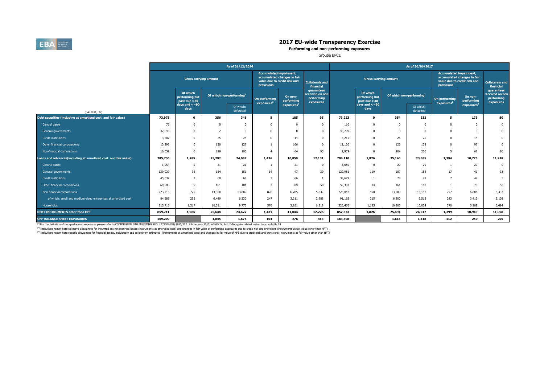

**Performing and non-performing exposures**

Groupe BPCE

|                                                                |         |                                              |                                      | As of 31/12/2016       |                                              |                                                             |                                                           |         |                                             |                                      | As of 30/06/2017       |                                              |                                                             |                                                           |
|----------------------------------------------------------------|---------|----------------------------------------------|--------------------------------------|------------------------|----------------------------------------------|-------------------------------------------------------------|-----------------------------------------------------------|---------|---------------------------------------------|--------------------------------------|------------------------|----------------------------------------------|-------------------------------------------------------------|-----------------------------------------------------------|
|                                                                |         | <b>Gross carrying amount</b>                 |                                      |                        | <b>Accumulated impairment,</b><br>provisions | accumulated changes in fair<br>value due to credit risk and | <b>Collaterals and</b><br>financial                       |         | <b>Gross carrying amount</b>                |                                      |                        | <b>Accumulated impairment,</b><br>provisions | accumulated changes in fair<br>value due to credit risk and | <b>Collaterals and</b><br>financial                       |
|                                                                |         | Of which<br>performing but<br>past due $>30$ | Of which non-performing <sup>1</sup> |                        | On performing<br>exposures <sup>2</sup>      | On non-<br>performing                                       | guarantees<br>received on non-<br>performing<br>exposures |         | Of which<br>performing but<br>past due > 30 | Of which non-performing <sup>1</sup> |                        | On performing<br>exposures <sup>2</sup>      | On non-<br>performing                                       | guarantees<br>received on non-<br>performing<br>exposures |
| (mln EUR, %)                                                   |         | days and $\lt=90$<br>days                    |                                      | Of which:<br>defaulted |                                              | exposures                                                   |                                                           |         | days and $\lt=90$<br>days                   |                                      | Of which:<br>defaulted |                                              | exposures                                                   |                                                           |
| Debt securities (including at amortised cost and fair value)   | 73,975  | $\mathbf 0$                                  | 356                                  | 345                    | 5.                                           | 185                                                         | 95                                                        | 73,223  | $\mathbf{o}$                                | 354                                  | 332                    | 5                                            | 173                                                         | 80                                                        |
| Central banks                                                  | 73      | 0                                            |                                      | $\Omega$               |                                              |                                                             | $\Omega$                                                  | 110     | $\Omega$                                    |                                      | $\Omega$               | $^{\circ}$                                   | $\Omega$                                                    | $\mathbf{0}$                                              |
| General governments                                            | 47,043  | 0                                            |                                      | $\Omega$               |                                              |                                                             | $\Omega$                                                  | 48,799  | $\Omega$                                    |                                      | $\Omega$               | $\Omega$                                     | $\Omega$                                                    | $\mathbf{0}$                                              |
| Credit institutions                                            | 3,507   | <sub>0</sub>                                 | 25                                   | 25                     | $\Omega$                                     | 14                                                          | $\Omega$                                                  | 3,215   | $\Omega$                                    | 25                                   | 25                     | $^{\circ}$                                   | 14                                                          | $\mathbf 0$                                               |
| Other financial corporations                                   | 13,293  | $\Omega$                                     | 130                                  | 127                    |                                              | 106                                                         | $\Omega$                                                  | 11,120  | $\Omega$                                    | 126                                  | 108                    | $^{\circ}$                                   | 97                                                          | $\mathbf 0$                                               |
| Non-financial corporations                                     | 10,059  | 0                                            | 199                                  | 193                    | $\overline{a}$                               | 64                                                          | 95                                                        | 9,979   | $\Omega$                                    | 204                                  | 200                    | -5                                           | 62                                                          | 80                                                        |
| Loans and advances(including at amortised cost and fair value) | 785,736 | 1,985                                        | 25,292                               | 24,082                 | 1,426                                        | 10,859                                                      | 12,131                                                    | 784,110 | 1,826                                       | 25,140                               | 23,685                 | 1,394                                        | 10,775                                                      | 11,918                                                    |
| Central banks                                                  | 1,054   | 0                                            | 21                                   | 21                     |                                              | 21                                                          | $^{\circ}$                                                | 3,650   | 0                                           | 20                                   | 20                     |                                              | 20                                                          | $\mathbf 0$                                               |
| General governments                                            | 130,029 | 32                                           | 154                                  | 151                    | 14                                           | 47                                                          | 30                                                        | 129,981 | 119                                         | 187                                  | 184                    | 17                                           | 41                                                          | 33                                                        |
| Credit institutions                                            | 45,637  |                                              | 68                                   | 68                     | $\overline{z}$                               | 66                                                          |                                                           | 38,629  |                                             | 78                                   | 78                     | $\overline{7}$                               | 42                                                          | 5                                                         |
| Other financial corporations                                   | 69,585  | 5.                                           | 181                                  | 181                    | $\overline{z}$                               | 89                                                          | 50                                                        | 59,333  | 14                                          | 161                                  | 160                    |                                              | 78                                                          | 53                                                        |
| Non-financial corporations                                     | 223,715 | 725                                          | 14,358                               | 13,887                 | 826                                          | 6,785                                                       | 5,832                                                     | 226,042 | 498                                         | 13,789                               | 13,187                 | 797                                          | 6,686                                                       | 5,333                                                     |
| of which: small and medium-sized enterprises at amortised cost | 84,588  | 255                                          | 6,489                                | 6,230                  | 247                                          | 3,211                                                       | 2,988                                                     | 91,162  | 215                                         | 6,800                                | 6,512                  | 243                                          | 3,413                                                       | 3,108                                                     |
| Households                                                     | 315,716 | 1,217                                        | 10,511                               | 9,775                  | 576                                          | 3,851                                                       | 6,218                                                     | 326,476 | 1,195                                       | 10,905                               | 10,054                 | 570                                          | 3,909                                                       | 6,494                                                     |
| DEBT INSTRUMENTS other than HFT                                | 859,711 | 1,985                                        | 25,648                               | 24,427                 | 1,431                                        | 11,044                                                      | 12,226                                                    | 857,333 | 1,826                                       | 25,494                               | 24,017                 | 1,399                                        | 10,949                                                      | 11,998                                                    |
| <b>OFF-BALANCE SHEET EXPOSURES</b>                             | 169,209 |                                              | 1,845                                | 1,675                  | 104                                          | 276                                                         | 463                                                       | 183,508 |                                             | 1,615                                | 1,418                  | 112                                          | 250                                                         | 200                                                       |

<sup>(1)</sup> For the definition of non-performing exposures please refer to COMMISSION IMPLEMENTING REGULATION (EU) 2015/227 of 9 January 2015, ANNEX V, Part 2-Template related instructions, subtitle 29

<sup>(2)</sup> Insitutions report here collective allowances for incurrred but not reported losses (instruments at amortised cost) and changes in fair value of performing exposures due to credit risk and provisions (instruments at

<sup>(3)</sup> Insitutions report here specific allowances for financial assets, individually and collectively estimated (instruments at amortised cost) and changes in fair value of NPE due to credit risk and provisions (instrument